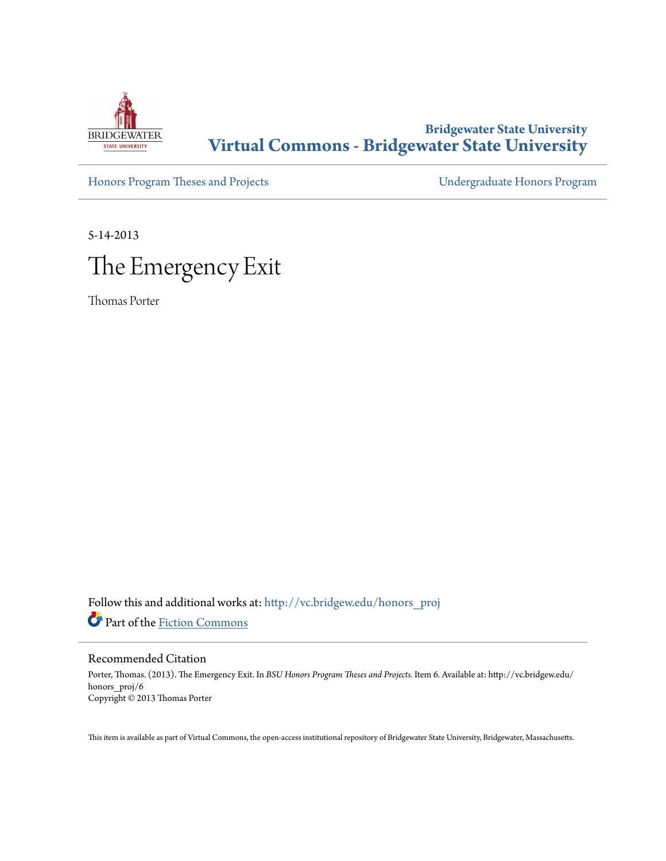

# **Bridgewater State University [Virtual Commons - Bridgewater State University](http://vc.bridgew.edu?utm_source=vc.bridgew.edu%2Fhonors_proj%2F6&utm_medium=PDF&utm_campaign=PDFCoverPages)**

[Honors Program Theses and Projects](http://vc.bridgew.edu/honors_proj?utm_source=vc.bridgew.edu%2Fhonors_proj%2F6&utm_medium=PDF&utm_campaign=PDFCoverPages) [Undergraduate Honors Program](http://vc.bridgew.edu/honors?utm_source=vc.bridgew.edu%2Fhonors_proj%2F6&utm_medium=PDF&utm_campaign=PDFCoverPages)

5-14-2013



Thomas Porter

Follow this and additional works at: [http://vc.bridgew.edu/honors\\_proj](http://vc.bridgew.edu/honors_proj?utm_source=vc.bridgew.edu%2Fhonors_proj%2F6&utm_medium=PDF&utm_campaign=PDFCoverPages) Part of the [Fiction Commons](http://network.bepress.com/hgg/discipline/1151?utm_source=vc.bridgew.edu%2Fhonors_proj%2F6&utm_medium=PDF&utm_campaign=PDFCoverPages)

## Recommended Citation

Porter, Thomas. (2013). The Emergency Exit. In *BSU Honors Program Theses and Projects.* Item 6. Available at: http://vc.bridgew.edu/ honors\_proj/6 Copyright © 2013 Thomas Porter

This item is available as part of Virtual Commons, the open-access institutional repository of Bridgewater State University, Bridgewater, Massachusetts.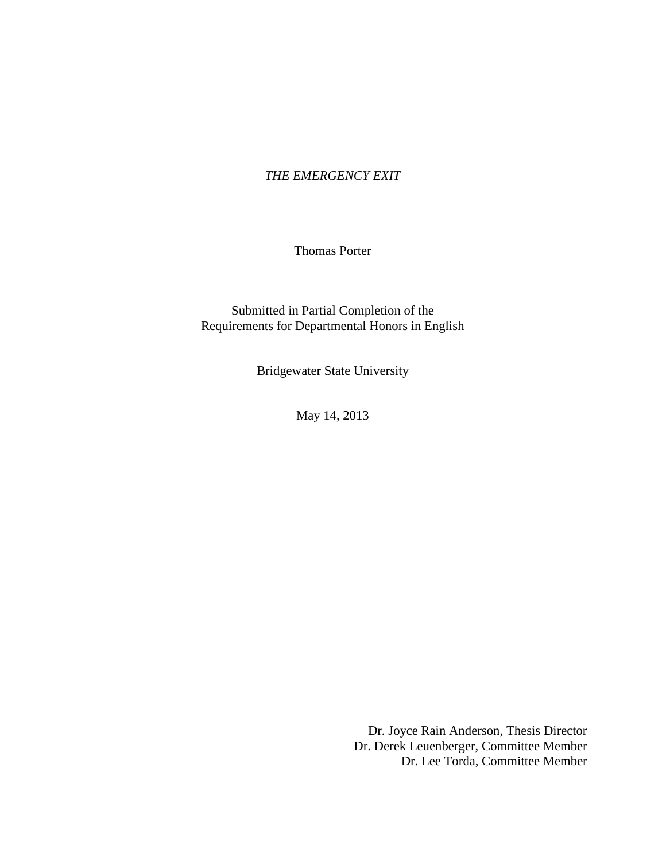## *THE EMERGENCY EXIT*

Thomas Porter

Submitted in Partial Completion of the Requirements for Departmental Honors in English

Bridgewater State University

May 14, 2013

Dr. Joyce Rain Anderson, Thesis Director Dr. Derek Leuenberger, Committee Member Dr. Lee Torda, Committee Member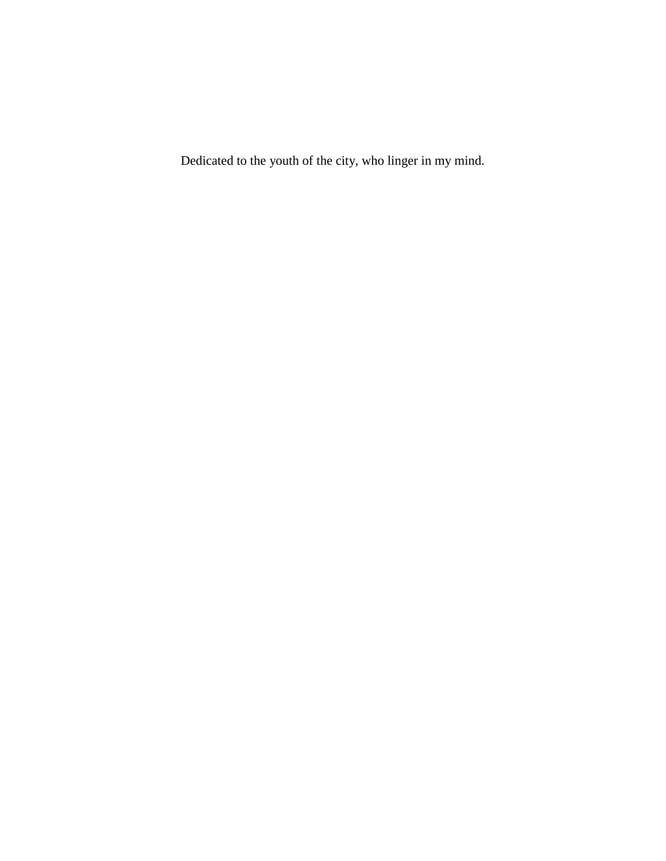Dedicated to the youth of the city, who linger in my mind.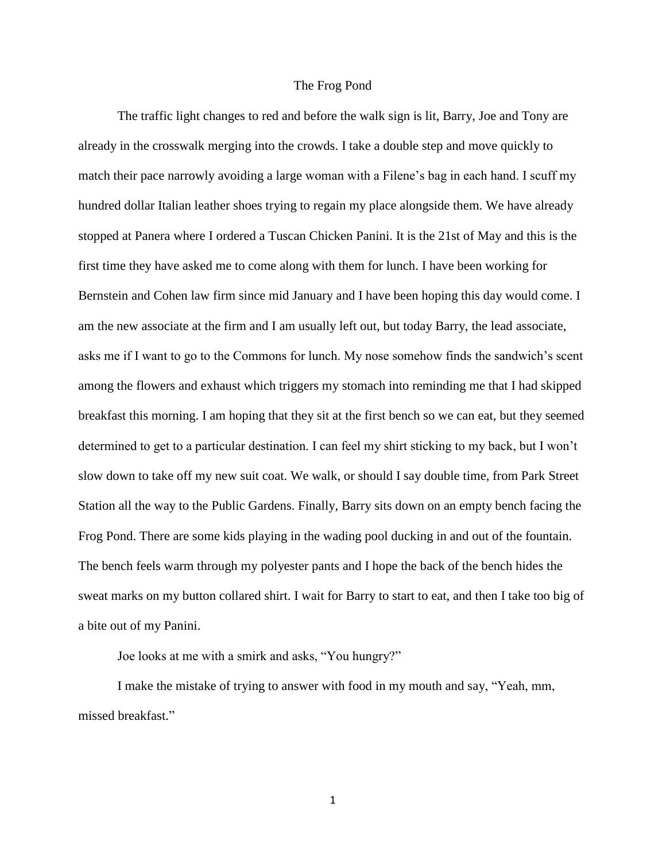#### The Frog Pond

The traffic light changes to red and before the walk sign is lit, Barry, Joe and Tony are already in the crosswalk merging into the crowds. I take a double step and move quickly to match their pace narrowly avoiding a large woman with a Filene's bag in each hand. I scuff my hundred dollar Italian leather shoes trying to regain my place alongside them. We have already stopped at Panera where I ordered a Tuscan Chicken Panini. It is the 21st of May and this is the first time they have asked me to come along with them for lunch. I have been working for Bernstein and Cohen law firm since mid January and I have been hoping this day would come. I am the new associate at the firm and I am usually left out, but today Barry, the lead associate, asks me if I want to go to the Commons for lunch. My nose somehow finds the sandwich's scent among the flowers and exhaust which triggers my stomach into reminding me that I had skipped breakfast this morning. I am hoping that they sit at the first bench so we can eat, but they seemed determined to get to a particular destination. I can feel my shirt sticking to my back, but I won't slow down to take off my new suit coat. We walk, or should I say double time, from Park Street Station all the way to the Public Gardens. Finally, Barry sits down on an empty bench facing the Frog Pond. There are some kids playing in the wading pool ducking in and out of the fountain. The bench feels warm through my polyester pants and I hope the back of the bench hides the sweat marks on my button collared shirt. I wait for Barry to start to eat, and then I take too big of a bite out of my Panini.

Joe looks at me with a smirk and asks, "You hungry?"

I make the mistake of trying to answer with food in my mouth and say, "Yeah, mm, missed breakfast."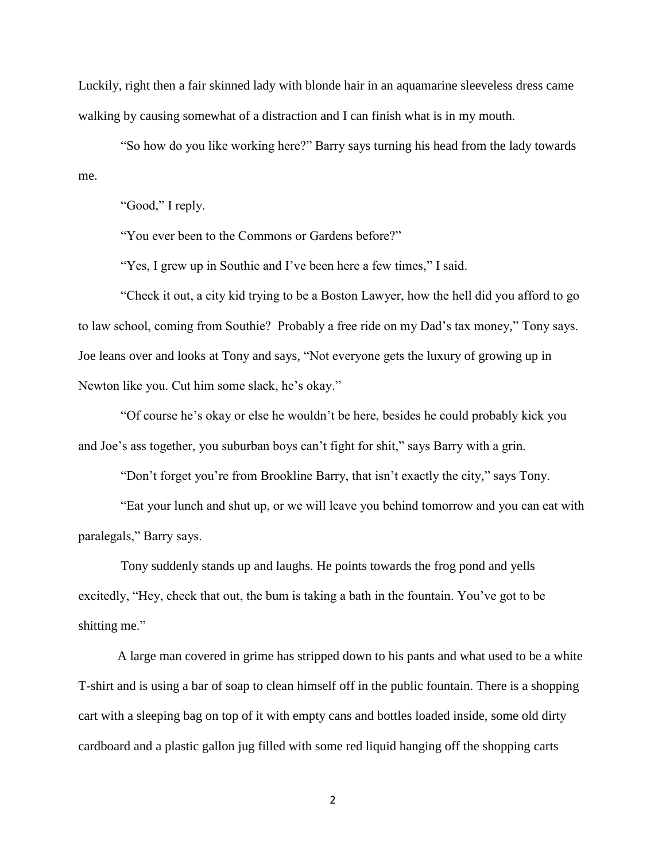Luckily, right then a fair skinned lady with blonde hair in an aquamarine sleeveless dress came walking by causing somewhat of a distraction and I can finish what is in my mouth.

 "So how do you like working here?" Barry says turning his head from the lady towards me.

"Good," I reply.

"You ever been to the Commons or Gardens before?"

"Yes, I grew up in Southie and I've been here a few times," I said.

 "Check it out, a city kid trying to be a Boston Lawyer, how the hell did you afford to go to law school, coming from Southie? Probably a free ride on my Dad's tax money," Tony says. Joe leans over and looks at Tony and says, "Not everyone gets the luxury of growing up in Newton like you. Cut him some slack, he's okay."

 "Of course he's okay or else he wouldn't be here, besides he could probably kick you and Joe's ass together, you suburban boys can't fight for shit," says Barry with a grin.

"Don't forget you're from Brookline Barry, that isn't exactly the city," says Tony.

 "Eat your lunch and shut up, or we will leave you behind tomorrow and you can eat with paralegals," Barry says.

Tony suddenly stands up and laughs. He points towards the frog pond and yells excitedly, "Hey, check that out, the bum is taking a bath in the fountain. You've got to be shitting me."

A large man covered in grime has stripped down to his pants and what used to be a white T-shirt and is using a bar of soap to clean himself off in the public fountain. There is a shopping cart with a sleeping bag on top of it with empty cans and bottles loaded inside, some old dirty cardboard and a plastic gallon jug filled with some red liquid hanging off the shopping carts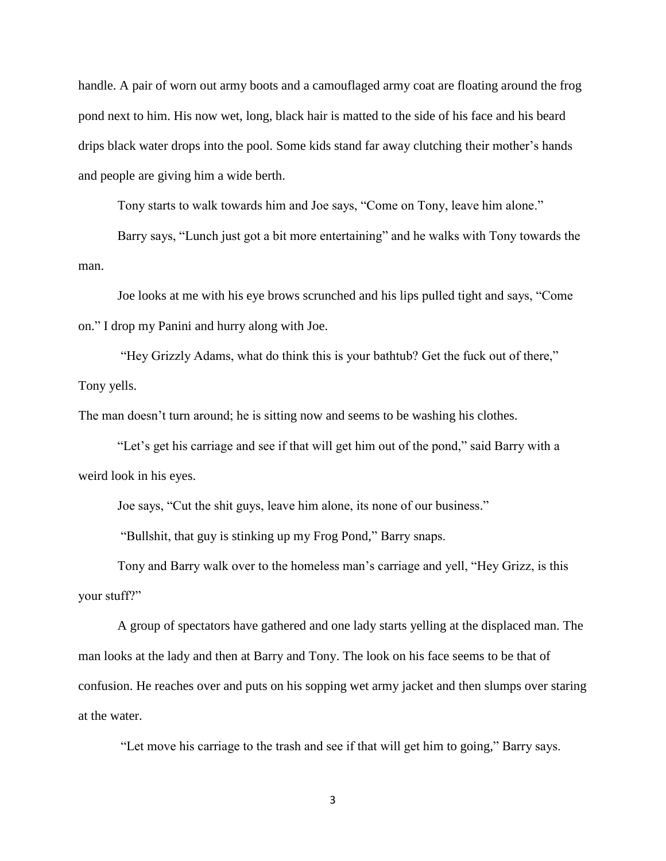handle. A pair of worn out army boots and a camouflaged army coat are floating around the frog pond next to him. His now wet, long, black hair is matted to the side of his face and his beard drips black water drops into the pool. Some kids stand far away clutching their mother's hands and people are giving him a wide berth.

Tony starts to walk towards him and Joe says, "Come on Tony, leave him alone."

Barry says, "Lunch just got a bit more entertaining" and he walks with Tony towards the man.

Joe looks at me with his eye brows scrunched and his lips pulled tight and says, "Come on." I drop my Panini and hurry along with Joe.

 "Hey Grizzly Adams, what do think this is your bathtub? Get the fuck out of there," Tony yells.

The man doesn't turn around; he is sitting now and seems to be washing his clothes.

 "Let's get his carriage and see if that will get him out of the pond," said Barry with a weird look in his eyes.

Joe says, "Cut the shit guys, leave him alone, its none of our business."

"Bullshit, that guy is stinking up my Frog Pond," Barry snaps.

Tony and Barry walk over to the homeless man's carriage and yell, "Hey Grizz, is this your stuff?"

A group of spectators have gathered and one lady starts yelling at the displaced man. The man looks at the lady and then at Barry and Tony. The look on his face seems to be that of confusion. He reaches over and puts on his sopping wet army jacket and then slumps over staring at the water.

"Let move his carriage to the trash and see if that will get him to going," Barry says.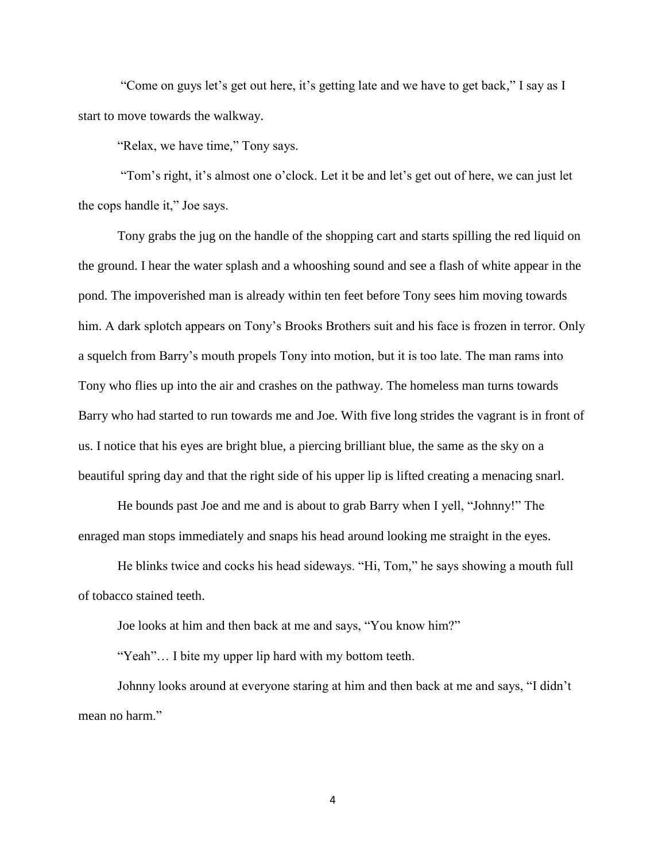"Come on guys let's get out here, it's getting late and we have to get back," I say as I start to move towards the walkway.

"Relax, we have time," Tony says.

 "Tom's right, it's almost one o'clock. Let it be and let's get out of here, we can just let the cops handle it," Joe says.

Tony grabs the jug on the handle of the shopping cart and starts spilling the red liquid on the ground. I hear the water splash and a whooshing sound and see a flash of white appear in the pond. The impoverished man is already within ten feet before Tony sees him moving towards him. A dark splotch appears on Tony's Brooks Brothers suit and his face is frozen in terror. Only a squelch from Barry's mouth propels Tony into motion, but it is too late. The man rams into Tony who flies up into the air and crashes on the pathway. The homeless man turns towards Barry who had started to run towards me and Joe. With five long strides the vagrant is in front of us. I notice that his eyes are bright blue, a piercing brilliant blue, the same as the sky on a beautiful spring day and that the right side of his upper lip is lifted creating a menacing snarl.

He bounds past Joe and me and is about to grab Barry when I yell, "Johnny!" The enraged man stops immediately and snaps his head around looking me straight in the eyes.

He blinks twice and cocks his head sideways. "Hi, Tom," he says showing a mouth full of tobacco stained teeth.

Joe looks at him and then back at me and says, "You know him?"

"Yeah"… I bite my upper lip hard with my bottom teeth.

Johnny looks around at everyone staring at him and then back at me and says, "I didn't mean no harm."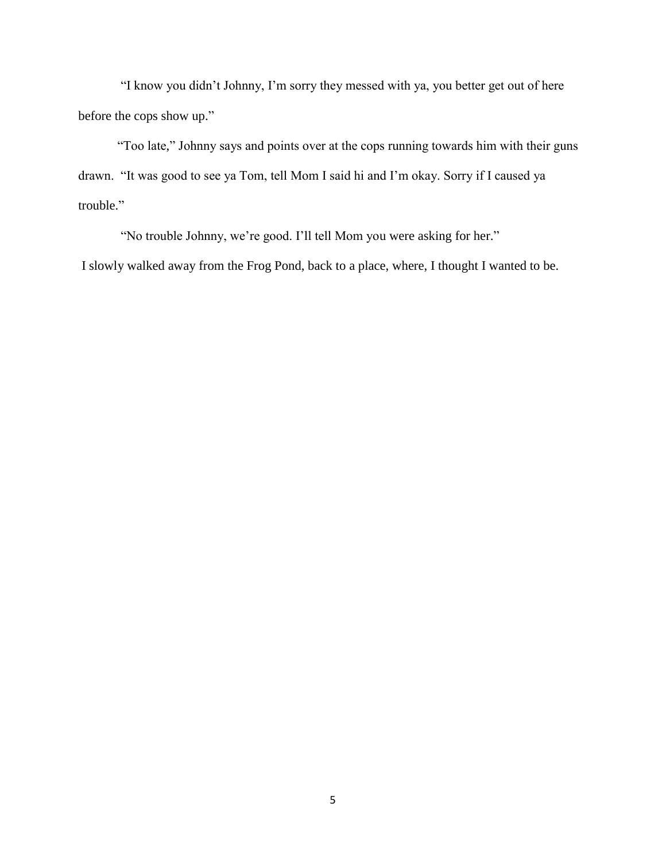"I know you didn't Johnny, I'm sorry they messed with ya, you better get out of here before the cops show up."

"Too late," Johnny says and points over at the cops running towards him with their guns drawn. "It was good to see ya Tom, tell Mom I said hi and I'm okay. Sorry if I caused ya trouble."

 "No trouble Johnny, we're good. I'll tell Mom you were asking for her." I slowly walked away from the Frog Pond, back to a place, where, I thought I wanted to be.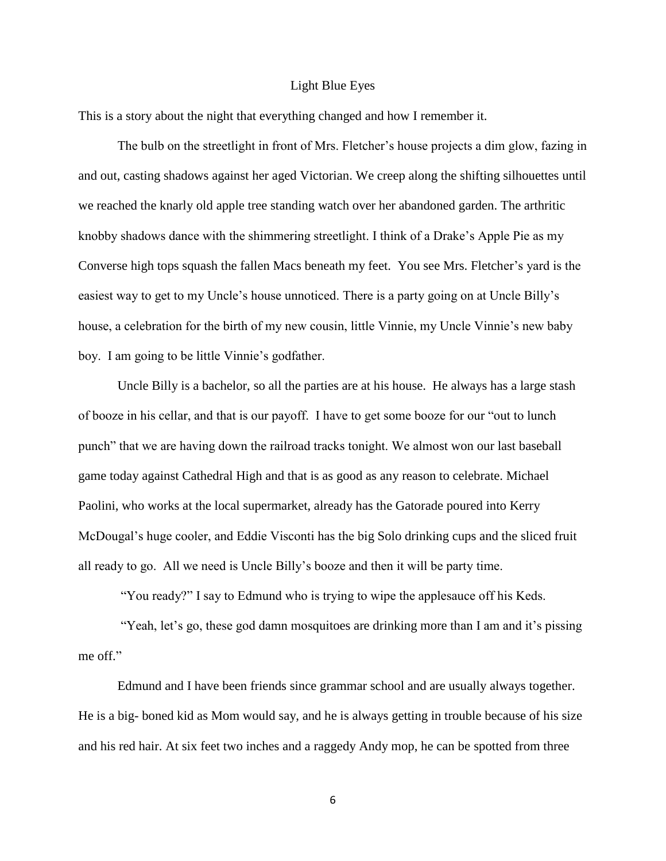#### Light Blue Eyes

This is a story about the night that everything changed and how I remember it.

The bulb on the streetlight in front of Mrs. Fletcher's house projects a dim glow, fazing in and out, casting shadows against her aged Victorian. We creep along the shifting silhouettes until we reached the knarly old apple tree standing watch over her abandoned garden. The arthritic knobby shadows dance with the shimmering streetlight. I think of a Drake's Apple Pie as my Converse high tops squash the fallen Macs beneath my feet. You see Mrs. Fletcher's yard is the easiest way to get to my Uncle's house unnoticed. There is a party going on at Uncle Billy's house, a celebration for the birth of my new cousin, little Vinnie, my Uncle Vinnie's new baby boy. I am going to be little Vinnie's godfather.

Uncle Billy is a bachelor, so all the parties are at his house. He always has a large stash of booze in his cellar, and that is our payoff. I have to get some booze for our "out to lunch punch" that we are having down the railroad tracks tonight. We almost won our last baseball game today against Cathedral High and that is as good as any reason to celebrate. Michael Paolini, who works at the local supermarket, already has the Gatorade poured into Kerry McDougal's huge cooler, and Eddie Visconti has the big Solo drinking cups and the sliced fruit all ready to go. All we need is Uncle Billy's booze and then it will be party time.

"You ready?" I say to Edmund who is trying to wipe the applesauce off his Keds.

 "Yeah, let's go, these god damn mosquitoes are drinking more than I am and it's pissing me off."

Edmund and I have been friends since grammar school and are usually always together. He is a big- boned kid as Mom would say, and he is always getting in trouble because of his size and his red hair. At six feet two inches and a raggedy Andy mop, he can be spotted from three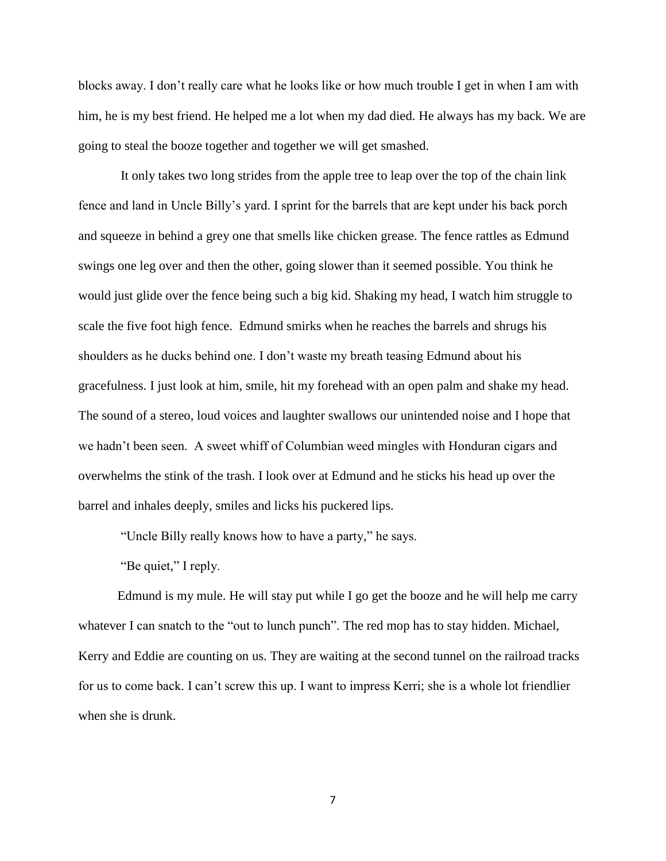blocks away. I don't really care what he looks like or how much trouble I get in when I am with him, he is my best friend. He helped me a lot when my dad died. He always has my back. We are going to steal the booze together and together we will get smashed.

It only takes two long strides from the apple tree to leap over the top of the chain link fence and land in Uncle Billy's yard. I sprint for the barrels that are kept under his back porch and squeeze in behind a grey one that smells like chicken grease. The fence rattles as Edmund swings one leg over and then the other, going slower than it seemed possible. You think he would just glide over the fence being such a big kid. Shaking my head, I watch him struggle to scale the five foot high fence. Edmund smirks when he reaches the barrels and shrugs his shoulders as he ducks behind one. I don't waste my breath teasing Edmund about his gracefulness. I just look at him, smile, hit my forehead with an open palm and shake my head. The sound of a stereo, loud voices and laughter swallows our unintended noise and I hope that we hadn't been seen. A sweet whiff of Columbian weed mingles with Honduran cigars and overwhelms the stink of the trash. I look over at Edmund and he sticks his head up over the barrel and inhales deeply, smiles and licks his puckered lips.

"Uncle Billy really knows how to have a party," he says.

"Be quiet," I reply.

Edmund is my mule. He will stay put while I go get the booze and he will help me carry whatever I can snatch to the "out to lunch punch". The red mop has to stay hidden. Michael, Kerry and Eddie are counting on us. They are waiting at the second tunnel on the railroad tracks for us to come back. I can't screw this up. I want to impress Kerri; she is a whole lot friendlier when she is drunk.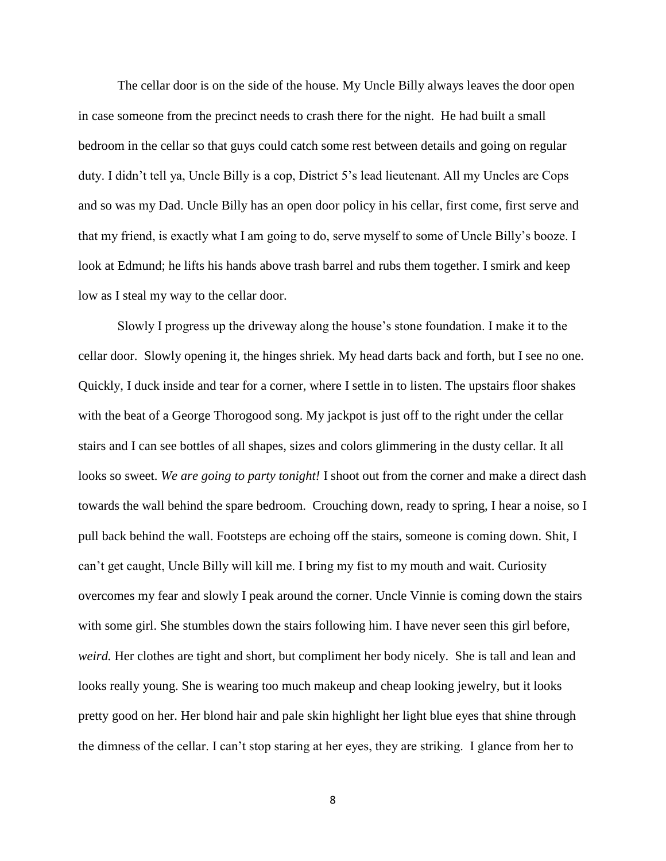The cellar door is on the side of the house. My Uncle Billy always leaves the door open in case someone from the precinct needs to crash there for the night. He had built a small bedroom in the cellar so that guys could catch some rest between details and going on regular duty. I didn't tell ya, Uncle Billy is a cop, District 5's lead lieutenant. All my Uncles are Cops and so was my Dad. Uncle Billy has an open door policy in his cellar, first come, first serve and that my friend, is exactly what I am going to do, serve myself to some of Uncle Billy's booze. I look at Edmund; he lifts his hands above trash barrel and rubs them together. I smirk and keep low as I steal my way to the cellar door.

Slowly I progress up the driveway along the house's stone foundation. I make it to the cellar door. Slowly opening it, the hinges shriek. My head darts back and forth, but I see no one. Quickly, I duck inside and tear for a corner, where I settle in to listen. The upstairs floor shakes with the beat of a George Thorogood song. My jackpot is just off to the right under the cellar stairs and I can see bottles of all shapes, sizes and colors glimmering in the dusty cellar. It all looks so sweet. *We are going to party tonight!* I shoot out from the corner and make a direct dash towards the wall behind the spare bedroom. Crouching down, ready to spring, I hear a noise, so I pull back behind the wall. Footsteps are echoing off the stairs, someone is coming down. Shit, I can't get caught, Uncle Billy will kill me. I bring my fist to my mouth and wait. Curiosity overcomes my fear and slowly I peak around the corner. Uncle Vinnie is coming down the stairs with some girl. She stumbles down the stairs following him. I have never seen this girl before, *weird.* Her clothes are tight and short, but compliment her body nicely. She is tall and lean and looks really young. She is wearing too much makeup and cheap looking jewelry, but it looks pretty good on her. Her blond hair and pale skin highlight her light blue eyes that shine through the dimness of the cellar. I can't stop staring at her eyes, they are striking. I glance from her to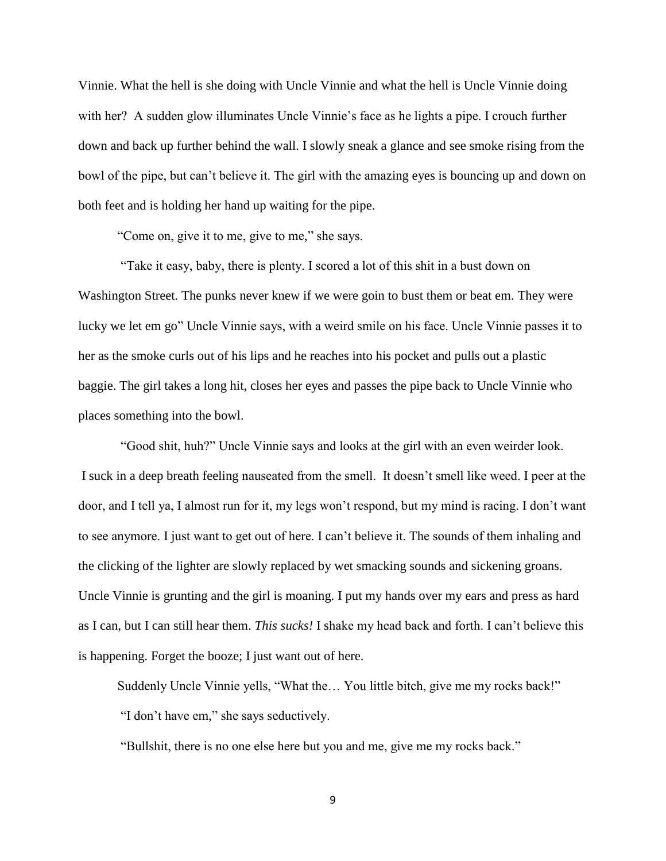Vinnie. What the hell is she doing with Uncle Vinnie and what the hell is Uncle Vinnie doing with her? A sudden glow illuminates Uncle Vinnie's face as he lights a pipe. I crouch further down and back up further behind the wall. I slowly sneak a glance and see smoke rising from the bowl of the pipe, but can't believe it. The girl with the amazing eyes is bouncing up and down on both feet and is holding her hand up waiting for the pipe.

"Come on, give it to me, give to me," she says.

 "Take it easy, baby, there is plenty. I scored a lot of this shit in a bust down on Washington Street. The punks never knew if we were goin to bust them or beat em. They were lucky we let em go" Uncle Vinnie says, with a weird smile on his face. Uncle Vinnie passes it to her as the smoke curls out of his lips and he reaches into his pocket and pulls out a plastic baggie. The girl takes a long hit, closes her eyes and passes the pipe back to Uncle Vinnie who places something into the bowl.

 "Good shit, huh?" Uncle Vinnie says and looks at the girl with an even weirder look. I suck in a deep breath feeling nauseated from the smell. It doesn't smell like weed. I peer at the door, and I tell ya, I almost run for it, my legs won't respond, but my mind is racing. I don't want to see anymore. I just want to get out of here. I can't believe it. The sounds of them inhaling and the clicking of the lighter are slowly replaced by wet smacking sounds and sickening groans. Uncle Vinnie is grunting and the girl is moaning. I put my hands over my ears and press as hard as I can, but I can still hear them. *This sucks!* I shake my head back and forth. I can't believe this is happening. Forget the booze; I just want out of here.

Suddenly Uncle Vinnie yells, "What the… You little bitch, give me my rocks back!" "I don't have em," she says seductively.

"Bullshit, there is no one else here but you and me, give me my rocks back."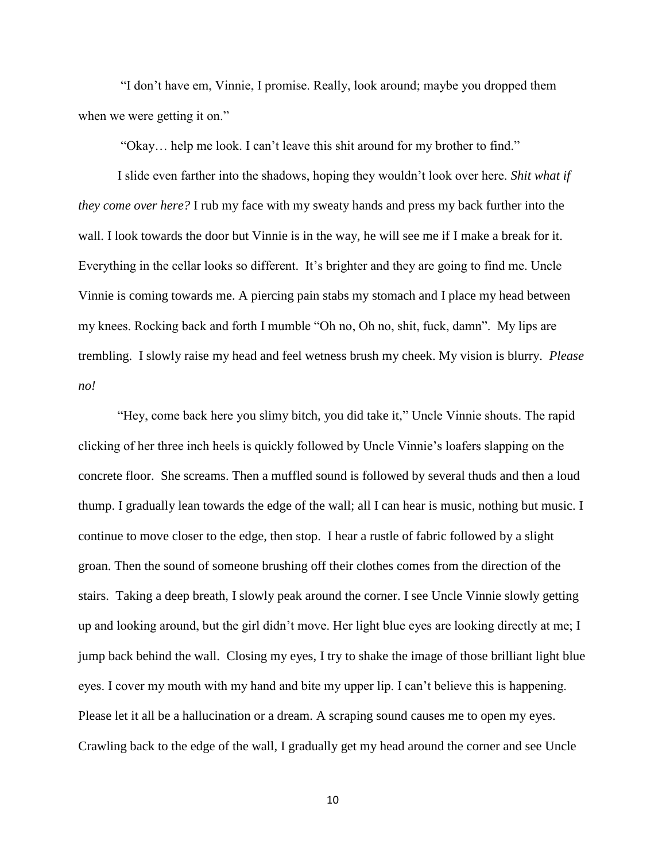"I don't have em, Vinnie, I promise. Really, look around; maybe you dropped them when we were getting it on."

"Okay… help me look. I can't leave this shit around for my brother to find."

I slide even farther into the shadows, hoping they wouldn't look over here. *Shit what if they come over here?* I rub my face with my sweaty hands and press my back further into the wall. I look towards the door but Vinnie is in the way, he will see me if I make a break for it. Everything in the cellar looks so different. It's brighter and they are going to find me. Uncle Vinnie is coming towards me. A piercing pain stabs my stomach and I place my head between my knees. Rocking back and forth I mumble "Oh no, Oh no, shit, fuck, damn". My lips are trembling. I slowly raise my head and feel wetness brush my cheek. My vision is blurry. *Please no!*

 "Hey, come back here you slimy bitch, you did take it," Uncle Vinnie shouts. The rapid clicking of her three inch heels is quickly followed by Uncle Vinnie's loafers slapping on the concrete floor. She screams. Then a muffled sound is followed by several thuds and then a loud thump. I gradually lean towards the edge of the wall; all I can hear is music, nothing but music. I continue to move closer to the edge, then stop. I hear a rustle of fabric followed by a slight groan. Then the sound of someone brushing off their clothes comes from the direction of the stairs. Taking a deep breath, I slowly peak around the corner. I see Uncle Vinnie slowly getting up and looking around, but the girl didn't move. Her light blue eyes are looking directly at me; I jump back behind the wall. Closing my eyes, I try to shake the image of those brilliant light blue eyes. I cover my mouth with my hand and bite my upper lip. I can't believe this is happening. Please let it all be a hallucination or a dream. A scraping sound causes me to open my eyes. Crawling back to the edge of the wall, I gradually get my head around the corner and see Uncle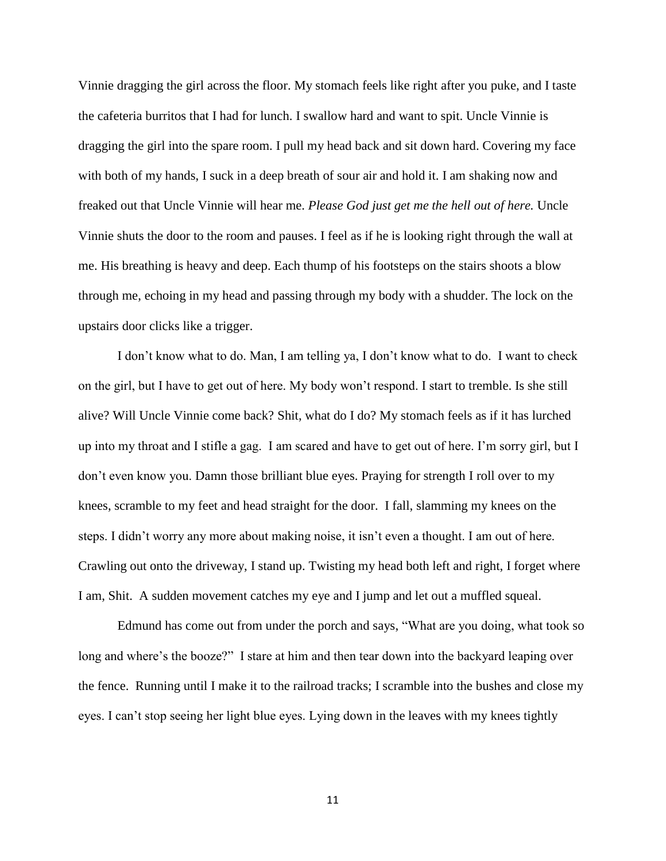Vinnie dragging the girl across the floor. My stomach feels like right after you puke, and I taste the cafeteria burritos that I had for lunch. I swallow hard and want to spit. Uncle Vinnie is dragging the girl into the spare room. I pull my head back and sit down hard. Covering my face with both of my hands, I suck in a deep breath of sour air and hold it. I am shaking now and freaked out that Uncle Vinnie will hear me. *Please God just get me the hell out of here.* Uncle Vinnie shuts the door to the room and pauses. I feel as if he is looking right through the wall at me. His breathing is heavy and deep. Each thump of his footsteps on the stairs shoots a blow through me, echoing in my head and passing through my body with a shudder. The lock on the upstairs door clicks like a trigger.

I don't know what to do. Man, I am telling ya, I don't know what to do. I want to check on the girl, but I have to get out of here. My body won't respond. I start to tremble. Is she still alive? Will Uncle Vinnie come back? Shit, what do I do? My stomach feels as if it has lurched up into my throat and I stifle a gag. I am scared and have to get out of here. I'm sorry girl, but I don't even know you. Damn those brilliant blue eyes. Praying for strength I roll over to my knees, scramble to my feet and head straight for the door. I fall, slamming my knees on the steps. I didn't worry any more about making noise, it isn't even a thought. I am out of here. Crawling out onto the driveway, I stand up. Twisting my head both left and right, I forget where I am, Shit. A sudden movement catches my eye and I jump and let out a muffled squeal.

Edmund has come out from under the porch and says, "What are you doing, what took so long and where's the booze?" I stare at him and then tear down into the backyard leaping over the fence. Running until I make it to the railroad tracks; I scramble into the bushes and close my eyes. I can't stop seeing her light blue eyes. Lying down in the leaves with my knees tightly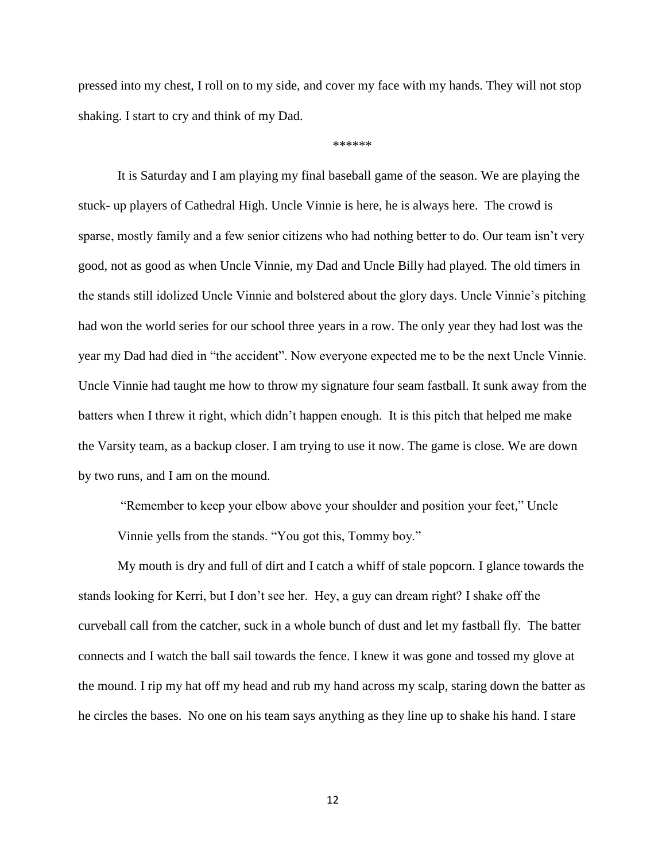pressed into my chest, I roll on to my side, and cover my face with my hands. They will not stop shaking. I start to cry and think of my Dad.

\*\*\*\*\*\*

It is Saturday and I am playing my final baseball game of the season. We are playing the stuck- up players of Cathedral High. Uncle Vinnie is here, he is always here. The crowd is sparse, mostly family and a few senior citizens who had nothing better to do. Our team isn't very good, not as good as when Uncle Vinnie, my Dad and Uncle Billy had played. The old timers in the stands still idolized Uncle Vinnie and bolstered about the glory days. Uncle Vinnie's pitching had won the world series for our school three years in a row. The only year they had lost was the year my Dad had died in "the accident". Now everyone expected me to be the next Uncle Vinnie. Uncle Vinnie had taught me how to throw my signature four seam fastball. It sunk away from the batters when I threw it right, which didn't happen enough. It is this pitch that helped me make the Varsity team, as a backup closer. I am trying to use it now. The game is close. We are down by two runs, and I am on the mound.

"Remember to keep your elbow above your shoulder and position your feet," Uncle Vinnie yells from the stands. "You got this, Tommy boy."

My mouth is dry and full of dirt and I catch a whiff of stale popcorn. I glance towards the stands looking for Kerri, but I don't see her. Hey, a guy can dream right? I shake off the curveball call from the catcher, suck in a whole bunch of dust and let my fastball fly. The batter connects and I watch the ball sail towards the fence. I knew it was gone and tossed my glove at the mound. I rip my hat off my head and rub my hand across my scalp, staring down the batter as he circles the bases. No one on his team says anything as they line up to shake his hand. I stare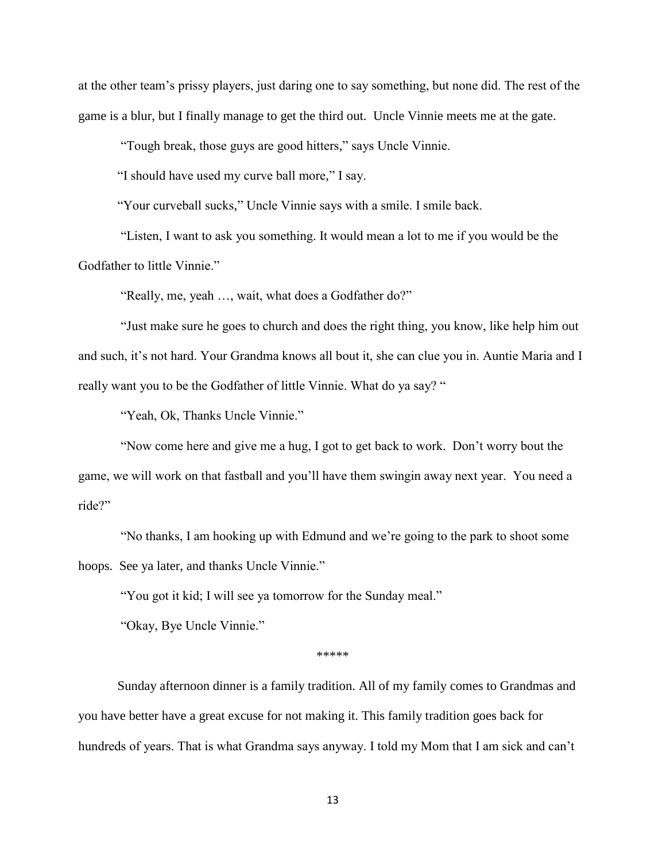at the other team's prissy players, just daring one to say something, but none did. The rest of the game is a blur, but I finally manage to get the third out. Uncle Vinnie meets me at the gate.

"Tough break, those guys are good hitters," says Uncle Vinnie.

"I should have used my curve ball more," I say.

"Your curveball sucks," Uncle Vinnie says with a smile. I smile back.

 "Listen, I want to ask you something. It would mean a lot to me if you would be the Godfather to little Vinnie."

"Really, me, yeah …, wait, what does a Godfather do?"

 "Just make sure he goes to church and does the right thing, you know, like help him out and such, it's not hard. Your Grandma knows all bout it, she can clue you in. Auntie Maria and I really want you to be the Godfather of little Vinnie. What do ya say? "

"Yeah, Ok, Thanks Uncle Vinnie."

 "Now come here and give me a hug, I got to get back to work. Don't worry bout the game, we will work on that fastball and you'll have them swingin away next year. You need a ride?"

 "No thanks, I am hooking up with Edmund and we're going to the park to shoot some hoops. See ya later, and thanks Uncle Vinnie."

"You got it kid; I will see ya tomorrow for the Sunday meal."

"Okay, Bye Uncle Vinnie."

\*\*\*\*\*

Sunday afternoon dinner is a family tradition. All of my family comes to Grandmas and you have better have a great excuse for not making it. This family tradition goes back for hundreds of years. That is what Grandma says anyway. I told my Mom that I am sick and can't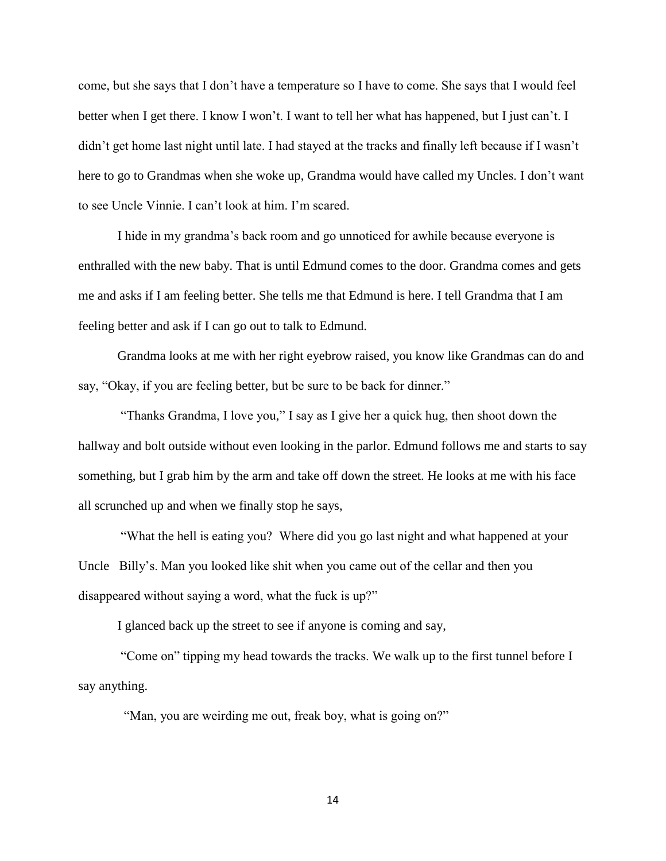come, but she says that I don't have a temperature so I have to come. She says that I would feel better when I get there. I know I won't. I want to tell her what has happened, but I just can't. I didn't get home last night until late. I had stayed at the tracks and finally left because if I wasn't here to go to Grandmas when she woke up, Grandma would have called my Uncles. I don't want to see Uncle Vinnie. I can't look at him. I'm scared.

I hide in my grandma's back room and go unnoticed for awhile because everyone is enthralled with the new baby. That is until Edmund comes to the door. Grandma comes and gets me and asks if I am feeling better. She tells me that Edmund is here. I tell Grandma that I am feeling better and ask if I can go out to talk to Edmund.

Grandma looks at me with her right eyebrow raised, you know like Grandmas can do and say, "Okay, if you are feeling better, but be sure to be back for dinner."

 "Thanks Grandma, I love you," I say as I give her a quick hug, then shoot down the hallway and bolt outside without even looking in the parlor. Edmund follows me and starts to say something, but I grab him by the arm and take off down the street. He looks at me with his face all scrunched up and when we finally stop he says,

 "What the hell is eating you? Where did you go last night and what happened at your Uncle Billy's. Man you looked like shit when you came out of the cellar and then you disappeared without saying a word, what the fuck is up?"

I glanced back up the street to see if anyone is coming and say,

 "Come on" tipping my head towards the tracks. We walk up to the first tunnel before I say anything.

"Man, you are weirding me out, freak boy, what is going on?"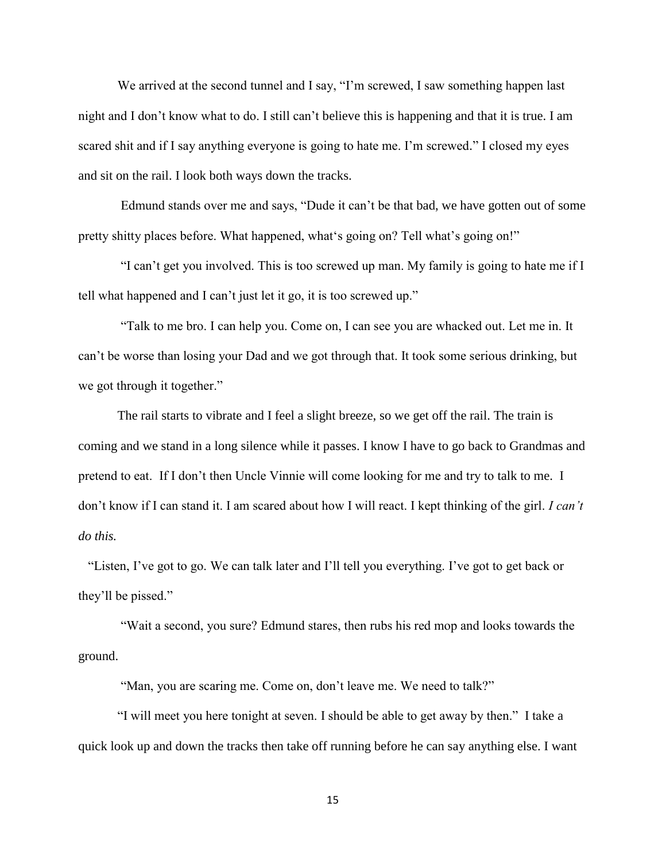We arrived at the second tunnel and I say, "I'm screwed, I saw something happen last night and I don't know what to do. I still can't believe this is happening and that it is true. I am scared shit and if I say anything everyone is going to hate me. I'm screwed." I closed my eyes and sit on the rail. I look both ways down the tracks.

Edmund stands over me and says, "Dude it can't be that bad, we have gotten out of some pretty shitty places before. What happened, what's going on? Tell what's going on!"

 "I can't get you involved. This is too screwed up man. My family is going to hate me if I tell what happened and I can't just let it go, it is too screwed up."

 "Talk to me bro. I can help you. Come on, I can see you are whacked out. Let me in. It can't be worse than losing your Dad and we got through that. It took some serious drinking, but we got through it together."

The rail starts to vibrate and I feel a slight breeze, so we get off the rail. The train is coming and we stand in a long silence while it passes. I know I have to go back to Grandmas and pretend to eat. If I don't then Uncle Vinnie will come looking for me and try to talk to me. I don't know if I can stand it. I am scared about how I will react. I kept thinking of the girl. *I can't do this.*

 "Listen, I've got to go. We can talk later and I'll tell you everything. I've got to get back or they'll be pissed."

 "Wait a second, you sure? Edmund stares, then rubs his red mop and looks towards the ground.

"Man, you are scaring me. Come on, don't leave me. We need to talk?"

 "I will meet you here tonight at seven. I should be able to get away by then." I take a quick look up and down the tracks then take off running before he can say anything else. I want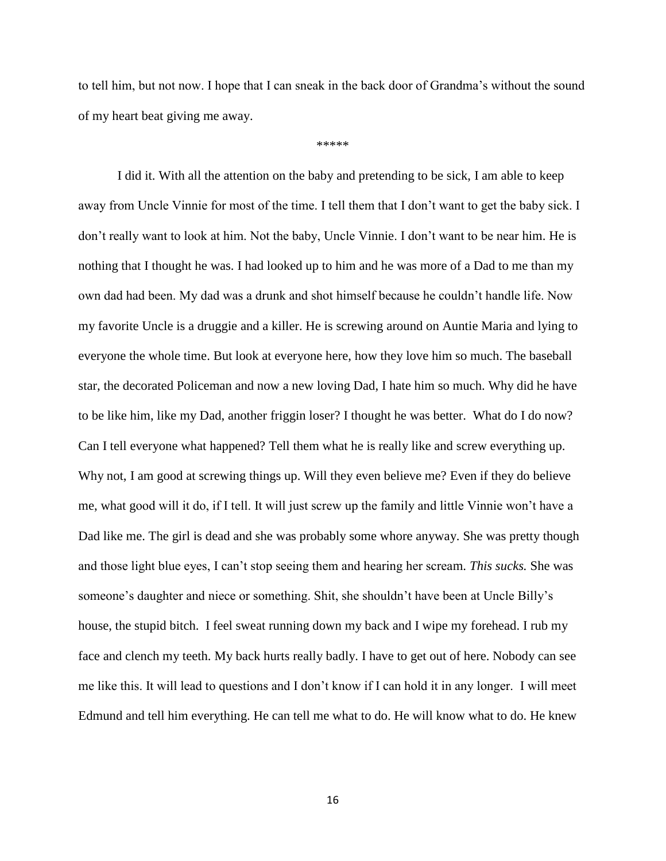to tell him, but not now. I hope that I can sneak in the back door of Grandma's without the sound of my heart beat giving me away.

\*\*\*\*\*

I did it. With all the attention on the baby and pretending to be sick, I am able to keep away from Uncle Vinnie for most of the time. I tell them that I don't want to get the baby sick. I don't really want to look at him. Not the baby, Uncle Vinnie. I don't want to be near him. He is nothing that I thought he was. I had looked up to him and he was more of a Dad to me than my own dad had been. My dad was a drunk and shot himself because he couldn't handle life. Now my favorite Uncle is a druggie and a killer. He is screwing around on Auntie Maria and lying to everyone the whole time. But look at everyone here, how they love him so much. The baseball star, the decorated Policeman and now a new loving Dad, I hate him so much. Why did he have to be like him, like my Dad, another friggin loser? I thought he was better. What do I do now? Can I tell everyone what happened? Tell them what he is really like and screw everything up. Why not, I am good at screwing things up. Will they even believe me? Even if they do believe me, what good will it do, if I tell. It will just screw up the family and little Vinnie won't have a Dad like me. The girl is dead and she was probably some whore anyway. She was pretty though and those light blue eyes, I can't stop seeing them and hearing her scream. *This sucks.* She was someone's daughter and niece or something. Shit, she shouldn't have been at Uncle Billy's house, the stupid bitch. I feel sweat running down my back and I wipe my forehead. I rub my face and clench my teeth. My back hurts really badly. I have to get out of here. Nobody can see me like this. It will lead to questions and I don't know if I can hold it in any longer. I will meet Edmund and tell him everything. He can tell me what to do. He will know what to do. He knew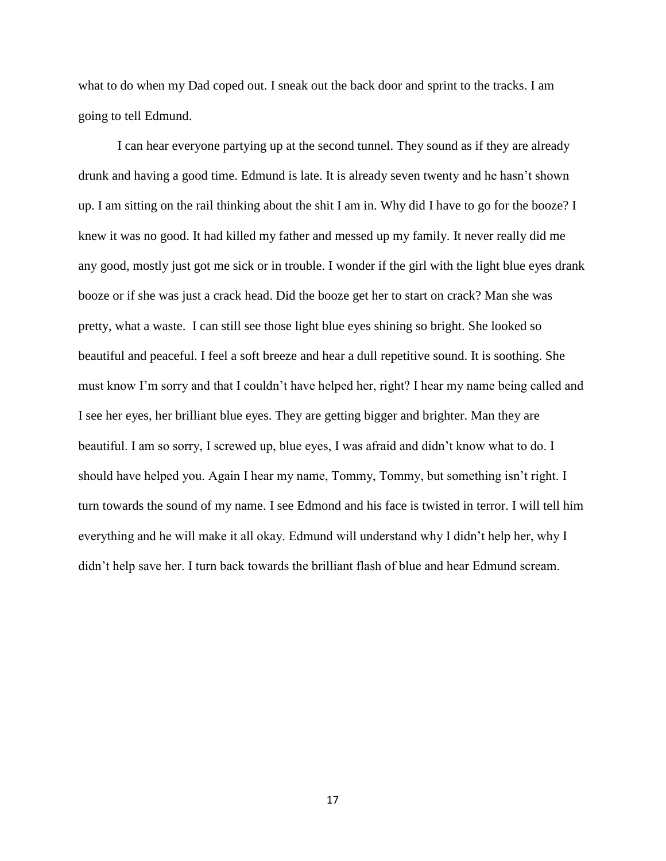what to do when my Dad coped out. I sneak out the back door and sprint to the tracks. I am going to tell Edmund.

I can hear everyone partying up at the second tunnel. They sound as if they are already drunk and having a good time. Edmund is late. It is already seven twenty and he hasn't shown up. I am sitting on the rail thinking about the shit I am in. Why did I have to go for the booze? I knew it was no good. It had killed my father and messed up my family. It never really did me any good, mostly just got me sick or in trouble. I wonder if the girl with the light blue eyes drank booze or if she was just a crack head. Did the booze get her to start on crack? Man she was pretty, what a waste. I can still see those light blue eyes shining so bright. She looked so beautiful and peaceful. I feel a soft breeze and hear a dull repetitive sound. It is soothing. She must know I'm sorry and that I couldn't have helped her, right? I hear my name being called and I see her eyes, her brilliant blue eyes. They are getting bigger and brighter. Man they are beautiful. I am so sorry, I screwed up, blue eyes, I was afraid and didn't know what to do. I should have helped you. Again I hear my name, Tommy, Tommy, but something isn't right. I turn towards the sound of my name. I see Edmond and his face is twisted in terror. I will tell him everything and he will make it all okay. Edmund will understand why I didn't help her, why I didn't help save her. I turn back towards the brilliant flash of blue and hear Edmund scream.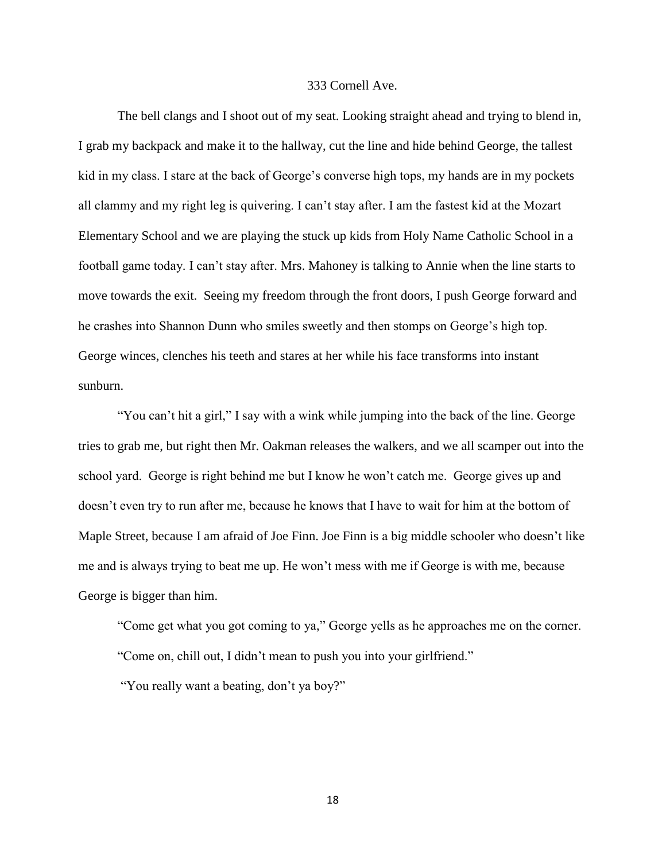### 333 Cornell Ave.

The bell clangs and I shoot out of my seat. Looking straight ahead and trying to blend in, I grab my backpack and make it to the hallway, cut the line and hide behind George, the tallest kid in my class. I stare at the back of George's converse high tops, my hands are in my pockets all clammy and my right leg is quivering. I can't stay after. I am the fastest kid at the Mozart Elementary School and we are playing the stuck up kids from Holy Name Catholic School in a football game today. I can't stay after. Mrs. Mahoney is talking to Annie when the line starts to move towards the exit. Seeing my freedom through the front doors, I push George forward and he crashes into Shannon Dunn who smiles sweetly and then stomps on George's high top. George winces, clenches his teeth and stares at her while his face transforms into instant sunburn.

"You can't hit a girl," I say with a wink while jumping into the back of the line. George tries to grab me, but right then Mr. Oakman releases the walkers, and we all scamper out into the school yard. George is right behind me but I know he won't catch me. George gives up and doesn't even try to run after me, because he knows that I have to wait for him at the bottom of Maple Street, because I am afraid of Joe Finn. Joe Finn is a big middle schooler who doesn't like me and is always trying to beat me up. He won't mess with me if George is with me, because George is bigger than him.

"Come get what you got coming to ya," George yells as he approaches me on the corner. "Come on, chill out, I didn't mean to push you into your girlfriend."

"You really want a beating, don't ya boy?"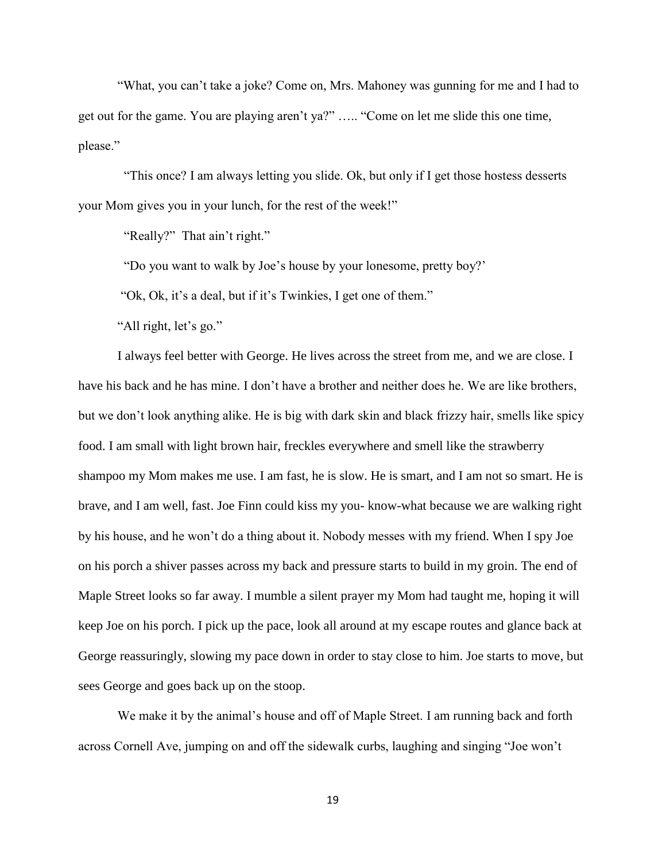"What, you can't take a joke? Come on, Mrs. Mahoney was gunning for me and I had to get out for the game. You are playing aren't ya?" ….. "Come on let me slide this one time, please."

 "This once? I am always letting you slide. Ok, but only if I get those hostess desserts your Mom gives you in your lunch, for the rest of the week!"

"Really?" That ain't right."

"Do you want to walk by Joe's house by your lonesome, pretty boy?'

"Ok, Ok, it's a deal, but if it's Twinkies, I get one of them."

"All right, let's go."

I always feel better with George. He lives across the street from me, and we are close. I have his back and he has mine. I don't have a brother and neither does he. We are like brothers, but we don't look anything alike. He is big with dark skin and black frizzy hair, smells like spicy food. I am small with light brown hair, freckles everywhere and smell like the strawberry shampoo my Mom makes me use. I am fast, he is slow. He is smart, and I am not so smart. He is brave, and I am well, fast. Joe Finn could kiss my you- know-what because we are walking right by his house, and he won't do a thing about it. Nobody messes with my friend. When I spy Joe on his porch a shiver passes across my back and pressure starts to build in my groin. The end of Maple Street looks so far away. I mumble a silent prayer my Mom had taught me, hoping it will keep Joe on his porch. I pick up the pace, look all around at my escape routes and glance back at George reassuringly, slowing my pace down in order to stay close to him. Joe starts to move, but sees George and goes back up on the stoop.

We make it by the animal's house and off of Maple Street. I am running back and forth across Cornell Ave, jumping on and off the sidewalk curbs, laughing and singing "Joe won't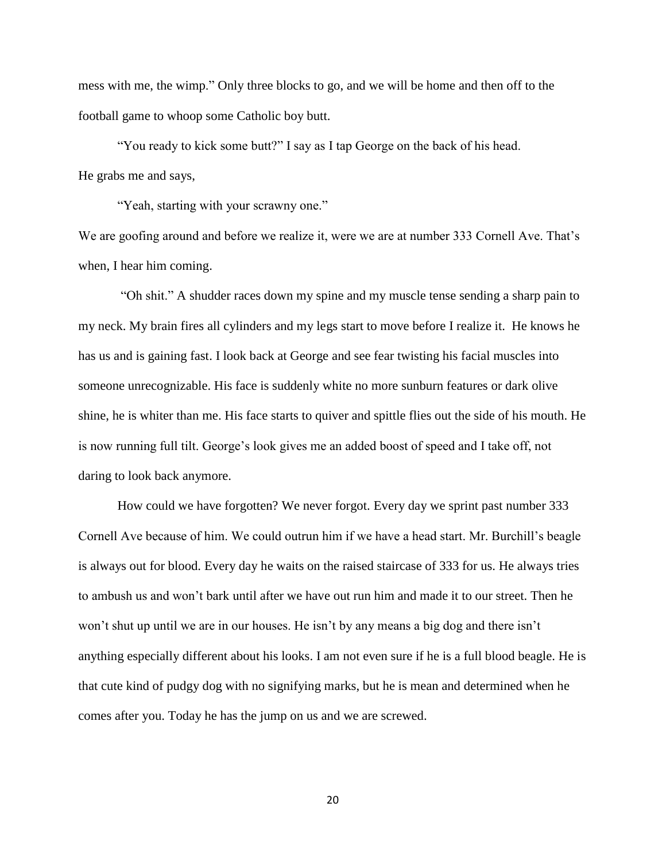mess with me, the wimp." Only three blocks to go, and we will be home and then off to the football game to whoop some Catholic boy butt.

"You ready to kick some butt?" I say as I tap George on the back of his head. He grabs me and says,

"Yeah, starting with your scrawny one."

We are goofing around and before we realize it, were we are at number 333 Cornell Ave. That's when, I hear him coming.

 "Oh shit." A shudder races down my spine and my muscle tense sending a sharp pain to my neck. My brain fires all cylinders and my legs start to move before I realize it. He knows he has us and is gaining fast. I look back at George and see fear twisting his facial muscles into someone unrecognizable. His face is suddenly white no more sunburn features or dark olive shine, he is whiter than me. His face starts to quiver and spittle flies out the side of his mouth. He is now running full tilt. George's look gives me an added boost of speed and I take off, not daring to look back anymore.

How could we have forgotten? We never forgot. Every day we sprint past number 333 Cornell Ave because of him. We could outrun him if we have a head start. Mr. Burchill's beagle is always out for blood. Every day he waits on the raised staircase of 333 for us. He always tries to ambush us and won't bark until after we have out run him and made it to our street. Then he won't shut up until we are in our houses. He isn't by any means a big dog and there isn't anything especially different about his looks. I am not even sure if he is a full blood beagle. He is that cute kind of pudgy dog with no signifying marks, but he is mean and determined when he comes after you. Today he has the jump on us and we are screwed.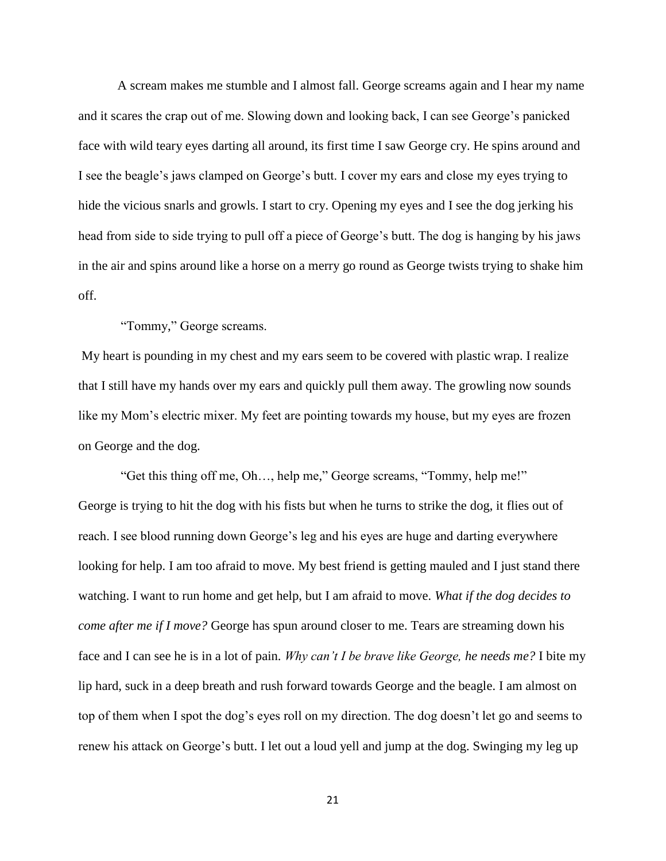A scream makes me stumble and I almost fall. George screams again and I hear my name and it scares the crap out of me. Slowing down and looking back, I can see George's panicked face with wild teary eyes darting all around, its first time I saw George cry. He spins around and I see the beagle's jaws clamped on George's butt. I cover my ears and close my eyes trying to hide the vicious snarls and growls. I start to cry. Opening my eyes and I see the dog jerking his head from side to side trying to pull off a piece of George's butt. The dog is hanging by his jaws in the air and spins around like a horse on a merry go round as George twists trying to shake him off.

"Tommy," George screams.

My heart is pounding in my chest and my ears seem to be covered with plastic wrap. I realize that I still have my hands over my ears and quickly pull them away. The growling now sounds like my Mom's electric mixer. My feet are pointing towards my house, but my eyes are frozen on George and the dog.

 "Get this thing off me, Oh…, help me," George screams, "Tommy, help me!" George is trying to hit the dog with his fists but when he turns to strike the dog, it flies out of reach. I see blood running down George's leg and his eyes are huge and darting everywhere looking for help. I am too afraid to move. My best friend is getting mauled and I just stand there watching. I want to run home and get help, but I am afraid to move. *What if the dog decides to come after me if I move?* George has spun around closer to me. Tears are streaming down his face and I can see he is in a lot of pain. *Why can't I be brave like George, he needs me?* I bite my lip hard, suck in a deep breath and rush forward towards George and the beagle. I am almost on top of them when I spot the dog's eyes roll on my direction. The dog doesn't let go and seems to renew his attack on George's butt. I let out a loud yell and jump at the dog. Swinging my leg up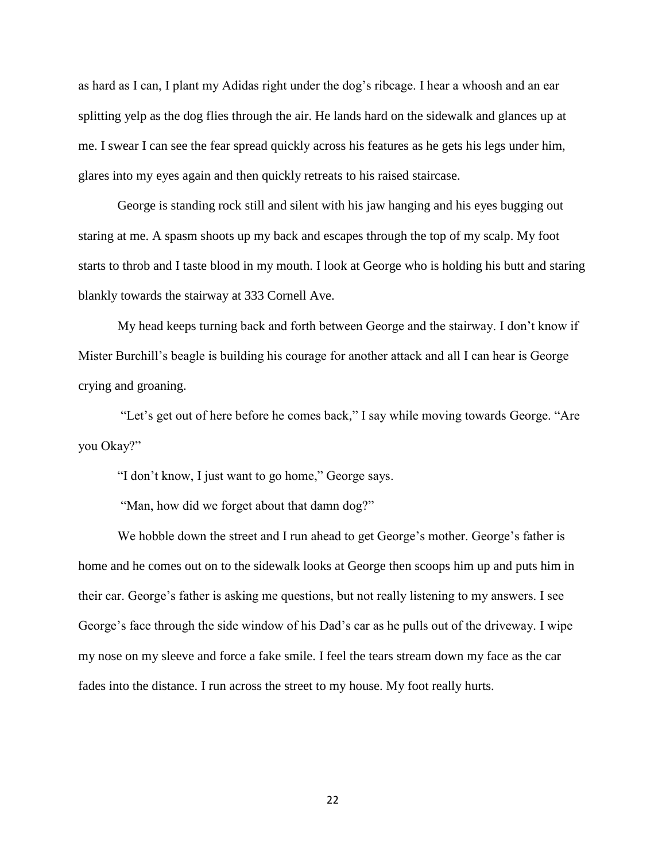as hard as I can, I plant my Adidas right under the dog's ribcage. I hear a whoosh and an ear splitting yelp as the dog flies through the air. He lands hard on the sidewalk and glances up at me. I swear I can see the fear spread quickly across his features as he gets his legs under him, glares into my eyes again and then quickly retreats to his raised staircase.

George is standing rock still and silent with his jaw hanging and his eyes bugging out staring at me. A spasm shoots up my back and escapes through the top of my scalp. My foot starts to throb and I taste blood in my mouth. I look at George who is holding his butt and staring blankly towards the stairway at 333 Cornell Ave.

My head keeps turning back and forth between George and the stairway. I don't know if Mister Burchill's beagle is building his courage for another attack and all I can hear is George crying and groaning.

 "Let's get out of here before he comes back," I say while moving towards George. "Are you Okay?"

"I don't know, I just want to go home," George says.

"Man, how did we forget about that damn dog?"

We hobble down the street and I run ahead to get George's mother. George's father is home and he comes out on to the sidewalk looks at George then scoops him up and puts him in their car. George's father is asking me questions, but not really listening to my answers. I see George's face through the side window of his Dad's car as he pulls out of the driveway. I wipe my nose on my sleeve and force a fake smile. I feel the tears stream down my face as the car fades into the distance. I run across the street to my house. My foot really hurts.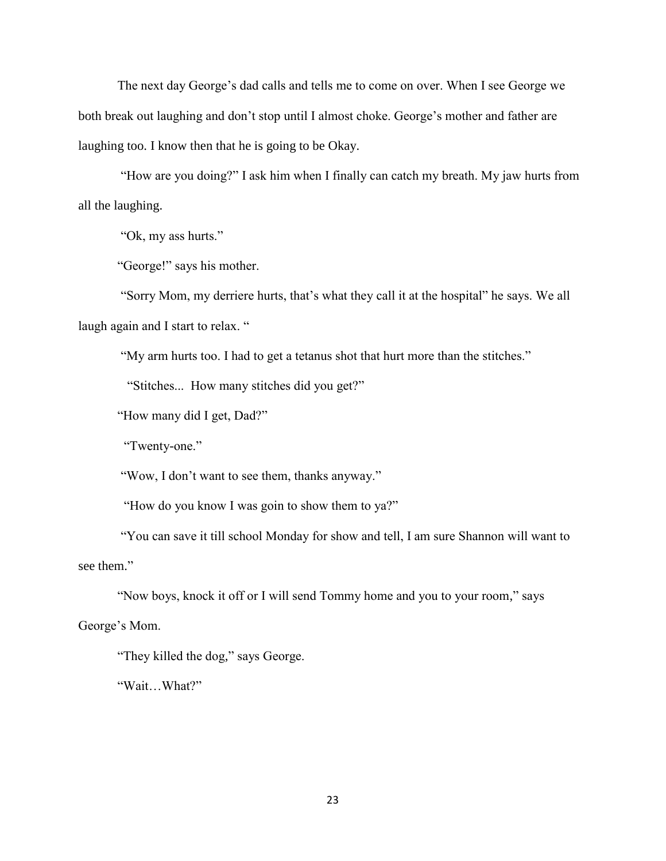The next day George's dad calls and tells me to come on over. When I see George we both break out laughing and don't stop until I almost choke. George's mother and father are laughing too. I know then that he is going to be Okay.

 "How are you doing?" I ask him when I finally can catch my breath. My jaw hurts from all the laughing.

"Ok, my ass hurts."

"George!" says his mother.

 "Sorry Mom, my derriere hurts, that's what they call it at the hospital" he says. We all laugh again and I start to relax. "

"My arm hurts too. I had to get a tetanus shot that hurt more than the stitches."

"Stitches... How many stitches did you get?"

"How many did I get, Dad?"

"Twenty-one."

"Wow, I don't want to see them, thanks anyway."

"How do you know I was goin to show them to ya?"

 "You can save it till school Monday for show and tell, I am sure Shannon will want to see them."

"Now boys, knock it off or I will send Tommy home and you to your room," says

George's Mom.

"They killed the dog," says George.

"Wait…What?"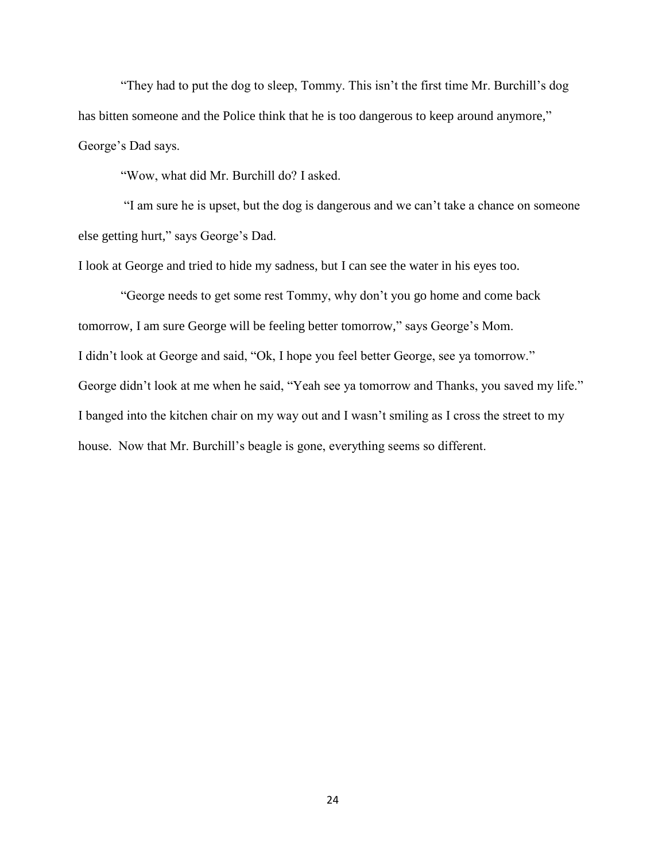"They had to put the dog to sleep, Tommy. This isn't the first time Mr. Burchill's dog has bitten someone and the Police think that he is too dangerous to keep around anymore," George's Dad says.

"Wow, what did Mr. Burchill do? I asked.

 "I am sure he is upset, but the dog is dangerous and we can't take a chance on someone else getting hurt," says George's Dad.

I look at George and tried to hide my sadness, but I can see the water in his eyes too.

 "George needs to get some rest Tommy, why don't you go home and come back tomorrow, I am sure George will be feeling better tomorrow," says George's Mom. I didn't look at George and said, "Ok, I hope you feel better George, see ya tomorrow." George didn't look at me when he said, "Yeah see ya tomorrow and Thanks, you saved my life." I banged into the kitchen chair on my way out and I wasn't smiling as I cross the street to my house. Now that Mr. Burchill's beagle is gone, everything seems so different.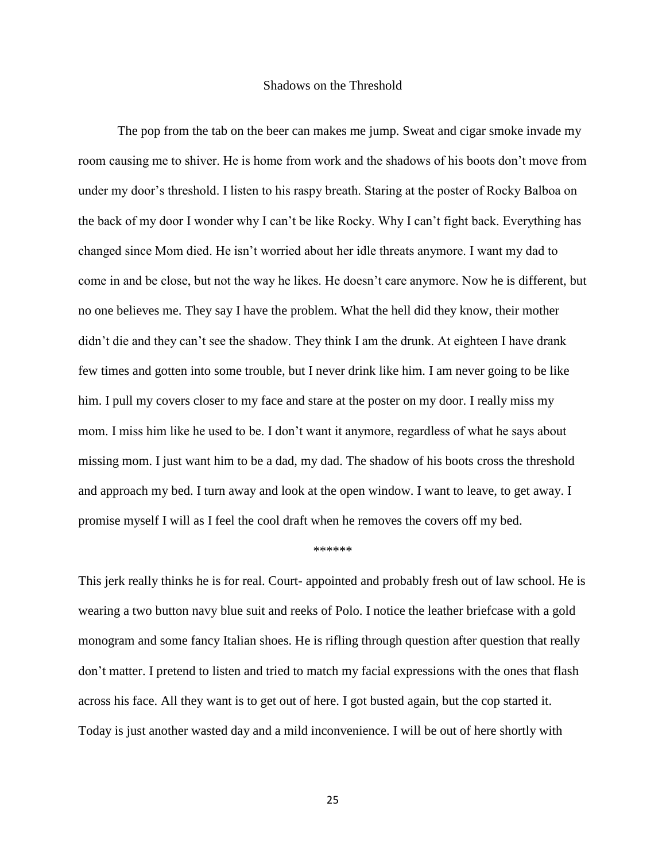#### Shadows on the Threshold

The pop from the tab on the beer can makes me jump. Sweat and cigar smoke invade my room causing me to shiver. He is home from work and the shadows of his boots don't move from under my door's threshold. I listen to his raspy breath. Staring at the poster of Rocky Balboa on the back of my door I wonder why I can't be like Rocky. Why I can't fight back. Everything has changed since Mom died. He isn't worried about her idle threats anymore. I want my dad to come in and be close, but not the way he likes. He doesn't care anymore. Now he is different, but no one believes me. They say I have the problem. What the hell did they know, their mother didn't die and they can't see the shadow. They think I am the drunk. At eighteen I have drank few times and gotten into some trouble, but I never drink like him. I am never going to be like him. I pull my covers closer to my face and stare at the poster on my door. I really miss my mom. I miss him like he used to be. I don't want it anymore, regardless of what he says about missing mom. I just want him to be a dad, my dad. The shadow of his boots cross the threshold and approach my bed. I turn away and look at the open window. I want to leave, to get away. I promise myself I will as I feel the cool draft when he removes the covers off my bed.

#### \*\*\*\*\*\*

This jerk really thinks he is for real. Court- appointed and probably fresh out of law school. He is wearing a two button navy blue suit and reeks of Polo. I notice the leather briefcase with a gold monogram and some fancy Italian shoes. He is rifling through question after question that really don't matter. I pretend to listen and tried to match my facial expressions with the ones that flash across his face. All they want is to get out of here. I got busted again, but the cop started it. Today is just another wasted day and a mild inconvenience. I will be out of here shortly with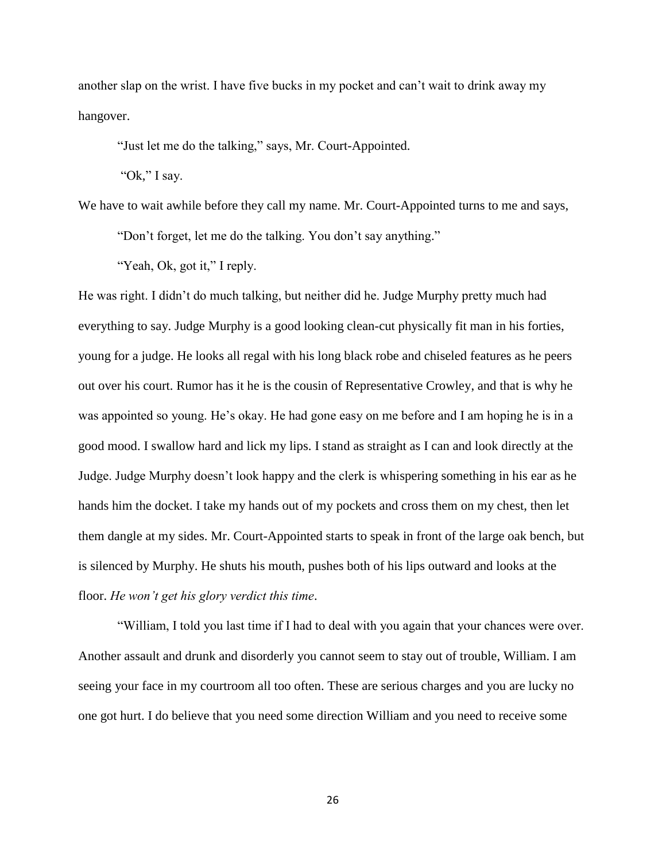another slap on the wrist. I have five bucks in my pocket and can't wait to drink away my hangover.

"Just let me do the talking," says, Mr. Court-Appointed.

"Ok," I say.

We have to wait awhile before they call my name. Mr. Court-Appointed turns to me and says,

"Don't forget, let me do the talking. You don't say anything."

"Yeah, Ok, got it," I reply.

He was right. I didn't do much talking, but neither did he. Judge Murphy pretty much had everything to say. Judge Murphy is a good looking clean-cut physically fit man in his forties, young for a judge. He looks all regal with his long black robe and chiseled features as he peers out over his court. Rumor has it he is the cousin of Representative Crowley, and that is why he was appointed so young. He's okay. He had gone easy on me before and I am hoping he is in a good mood. I swallow hard and lick my lips. I stand as straight as I can and look directly at the Judge. Judge Murphy doesn't look happy and the clerk is whispering something in his ear as he hands him the docket. I take my hands out of my pockets and cross them on my chest, then let them dangle at my sides. Mr. Court-Appointed starts to speak in front of the large oak bench, but is silenced by Murphy. He shuts his mouth, pushes both of his lips outward and looks at the floor. *He won't get his glory verdict this time*.

"William, I told you last time if I had to deal with you again that your chances were over. Another assault and drunk and disorderly you cannot seem to stay out of trouble, William. I am seeing your face in my courtroom all too often. These are serious charges and you are lucky no one got hurt. I do believe that you need some direction William and you need to receive some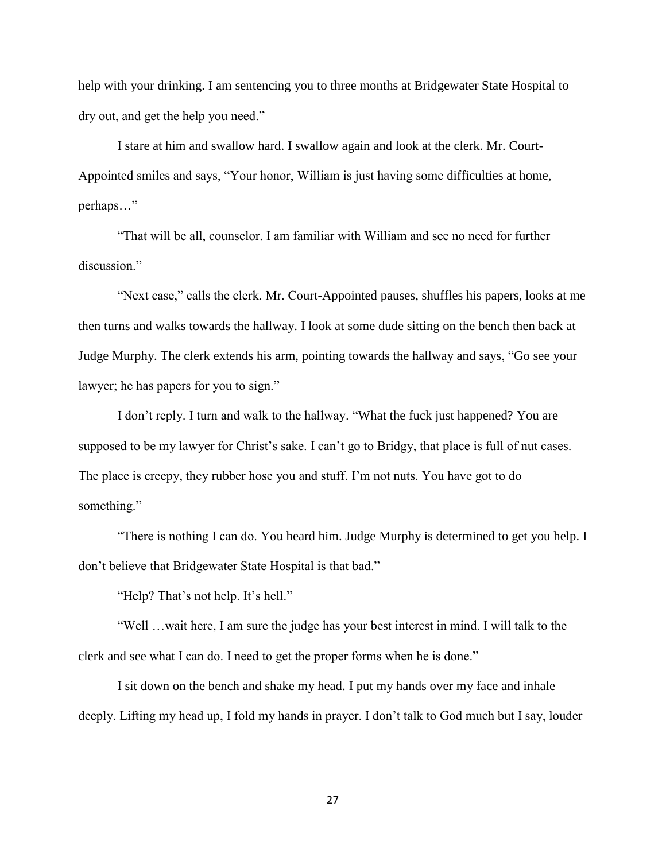help with your drinking. I am sentencing you to three months at Bridgewater State Hospital to dry out, and get the help you need."

I stare at him and swallow hard. I swallow again and look at the clerk. Mr. Court-Appointed smiles and says, "Your honor, William is just having some difficulties at home, perhaps…"

"That will be all, counselor. I am familiar with William and see no need for further discussion."

"Next case," calls the clerk. Mr. Court-Appointed pauses, shuffles his papers, looks at me then turns and walks towards the hallway. I look at some dude sitting on the bench then back at Judge Murphy. The clerk extends his arm, pointing towards the hallway and says, "Go see your lawyer; he has papers for you to sign."

I don't reply. I turn and walk to the hallway. "What the fuck just happened? You are supposed to be my lawyer for Christ's sake. I can't go to Bridgy, that place is full of nut cases. The place is creepy, they rubber hose you and stuff. I'm not nuts. You have got to do something."

"There is nothing I can do. You heard him. Judge Murphy is determined to get you help. I don't believe that Bridgewater State Hospital is that bad."

"Help? That's not help. It's hell."

"Well …wait here, I am sure the judge has your best interest in mind. I will talk to the clerk and see what I can do. I need to get the proper forms when he is done."

I sit down on the bench and shake my head. I put my hands over my face and inhale deeply. Lifting my head up, I fold my hands in prayer. I don't talk to God much but I say, louder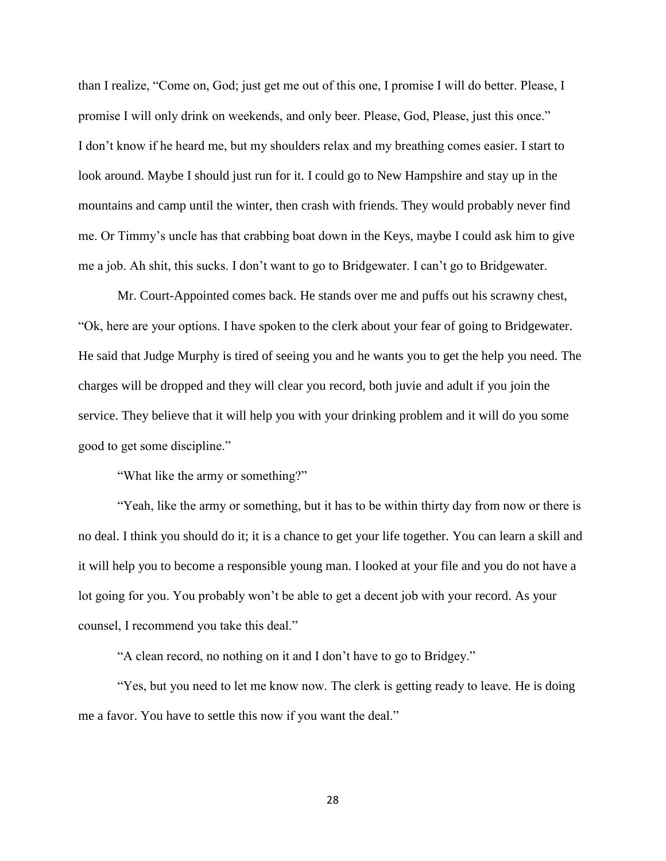than I realize, "Come on, God; just get me out of this one, I promise I will do better. Please, I promise I will only drink on weekends, and only beer. Please, God, Please, just this once." I don't know if he heard me, but my shoulders relax and my breathing comes easier. I start to look around. Maybe I should just run for it. I could go to New Hampshire and stay up in the mountains and camp until the winter, then crash with friends. They would probably never find me. Or Timmy's uncle has that crabbing boat down in the Keys, maybe I could ask him to give me a job. Ah shit, this sucks. I don't want to go to Bridgewater. I can't go to Bridgewater.

Mr. Court-Appointed comes back. He stands over me and puffs out his scrawny chest, "Ok, here are your options. I have spoken to the clerk about your fear of going to Bridgewater. He said that Judge Murphy is tired of seeing you and he wants you to get the help you need. The charges will be dropped and they will clear you record, both juvie and adult if you join the service. They believe that it will help you with your drinking problem and it will do you some good to get some discipline."

"What like the army or something?"

"Yeah, like the army or something, but it has to be within thirty day from now or there is no deal. I think you should do it; it is a chance to get your life together. You can learn a skill and it will help you to become a responsible young man. I looked at your file and you do not have a lot going for you. You probably won't be able to get a decent job with your record. As your counsel, I recommend you take this deal."

"A clean record, no nothing on it and I don't have to go to Bridgey."

"Yes, but you need to let me know now. The clerk is getting ready to leave. He is doing me a favor. You have to settle this now if you want the deal."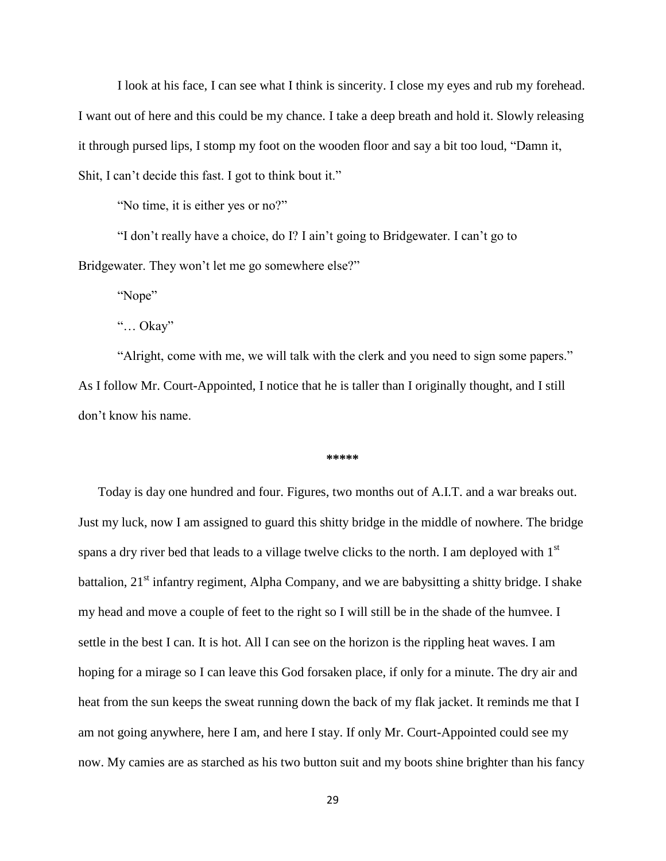I look at his face, I can see what I think is sincerity. I close my eyes and rub my forehead. I want out of here and this could be my chance. I take a deep breath and hold it. Slowly releasing it through pursed lips, I stomp my foot on the wooden floor and say a bit too loud, "Damn it, Shit, I can't decide this fast. I got to think bout it."

"No time, it is either yes or no?"

"I don't really have a choice, do I? I ain't going to Bridgewater. I can't go to Bridgewater. They won't let me go somewhere else?"

"Nope"

"… Okay"

"Alright, come with me, we will talk with the clerk and you need to sign some papers." As I follow Mr. Court-Appointed, I notice that he is taller than I originally thought, and I still don't know his name.

#### **\*\*\*\*\***

Today is day one hundred and four. Figures, two months out of A.I.T. and a war breaks out. Just my luck, now I am assigned to guard this shitty bridge in the middle of nowhere. The bridge spans a dry river bed that leads to a village twelve clicks to the north. I am deployed with 1<sup>st</sup> battalion,  $21<sup>st</sup>$  infantry regiment, Alpha Company, and we are babysitting a shitty bridge. I shake my head and move a couple of feet to the right so I will still be in the shade of the humvee. I settle in the best I can. It is hot. All I can see on the horizon is the rippling heat waves. I am hoping for a mirage so I can leave this God forsaken place, if only for a minute. The dry air and heat from the sun keeps the sweat running down the back of my flak jacket. It reminds me that I am not going anywhere, here I am, and here I stay. If only Mr. Court-Appointed could see my now. My camies are as starched as his two button suit and my boots shine brighter than his fancy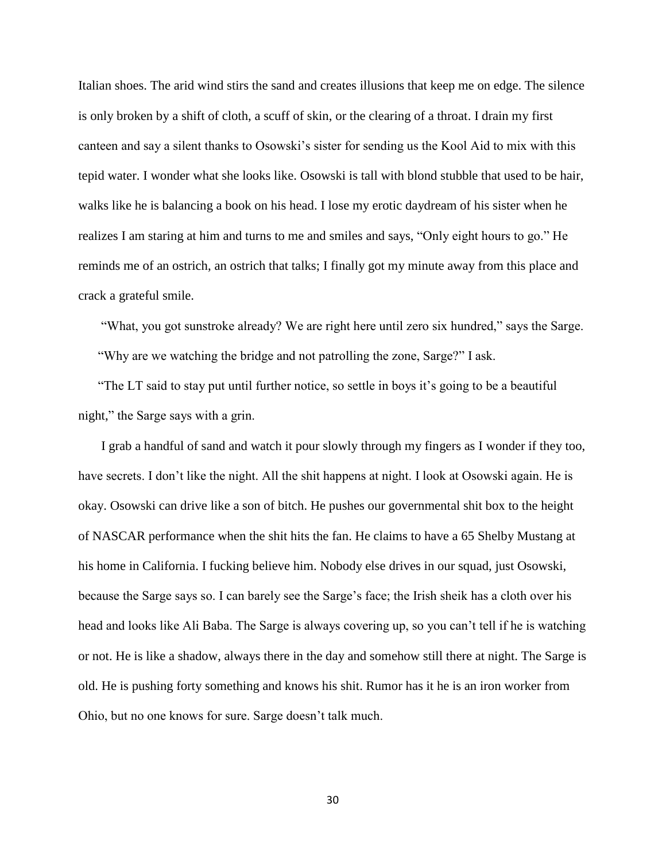Italian shoes. The arid wind stirs the sand and creates illusions that keep me on edge. The silence is only broken by a shift of cloth, a scuff of skin, or the clearing of a throat. I drain my first canteen and say a silent thanks to Osowski's sister for sending us the Kool Aid to mix with this tepid water. I wonder what she looks like. Osowski is tall with blond stubble that used to be hair, walks like he is balancing a book on his head. I lose my erotic daydream of his sister when he realizes I am staring at him and turns to me and smiles and says, "Only eight hours to go." He reminds me of an ostrich, an ostrich that talks; I finally got my minute away from this place and crack a grateful smile.

"What, you got sunstroke already? We are right here until zero six hundred," says the Sarge. "Why are we watching the bridge and not patrolling the zone, Sarge?" I ask.

"The LT said to stay put until further notice, so settle in boys it's going to be a beautiful night," the Sarge says with a grin.

I grab a handful of sand and watch it pour slowly through my fingers as I wonder if they too, have secrets. I don't like the night. All the shit happens at night. I look at Osowski again. He is okay. Osowski can drive like a son of bitch. He pushes our governmental shit box to the height of NASCAR performance when the shit hits the fan. He claims to have a 65 Shelby Mustang at his home in California. I fucking believe him. Nobody else drives in our squad, just Osowski, because the Sarge says so. I can barely see the Sarge's face; the Irish sheik has a cloth over his head and looks like Ali Baba. The Sarge is always covering up, so you can't tell if he is watching or not. He is like a shadow, always there in the day and somehow still there at night. The Sarge is old. He is pushing forty something and knows his shit. Rumor has it he is an iron worker from Ohio, but no one knows for sure. Sarge doesn't talk much.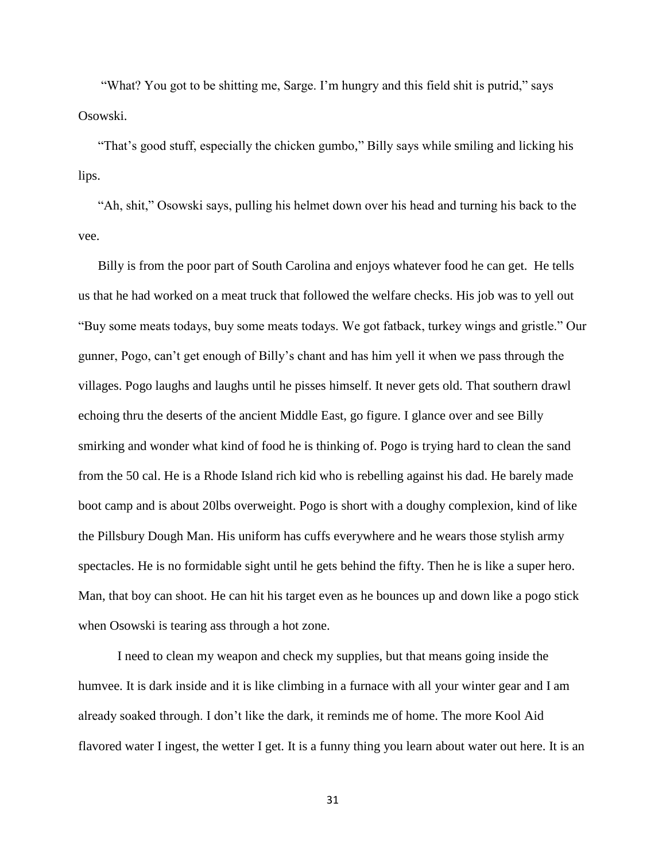"What? You got to be shitting me, Sarge. I'm hungry and this field shit is putrid," says Osowski.

"That's good stuff, especially the chicken gumbo," Billy says while smiling and licking his lips.

"Ah, shit," Osowski says, pulling his helmet down over his head and turning his back to the vee.

Billy is from the poor part of South Carolina and enjoys whatever food he can get. He tells us that he had worked on a meat truck that followed the welfare checks. His job was to yell out "Buy some meats todays, buy some meats todays. We got fatback, turkey wings and gristle." Our gunner, Pogo, can't get enough of Billy's chant and has him yell it when we pass through the villages. Pogo laughs and laughs until he pisses himself. It never gets old. That southern drawl echoing thru the deserts of the ancient Middle East, go figure. I glance over and see Billy smirking and wonder what kind of food he is thinking of. Pogo is trying hard to clean the sand from the 50 cal. He is a Rhode Island rich kid who is rebelling against his dad. He barely made boot camp and is about 20lbs overweight. Pogo is short with a doughy complexion, kind of like the Pillsbury Dough Man. His uniform has cuffs everywhere and he wears those stylish army spectacles. He is no formidable sight until he gets behind the fifty. Then he is like a super hero. Man, that boy can shoot. He can hit his target even as he bounces up and down like a pogo stick when Osowski is tearing ass through a hot zone.

 I need to clean my weapon and check my supplies, but that means going inside the humvee. It is dark inside and it is like climbing in a furnace with all your winter gear and I am already soaked through. I don't like the dark, it reminds me of home. The more Kool Aid flavored water I ingest, the wetter I get. It is a funny thing you learn about water out here. It is an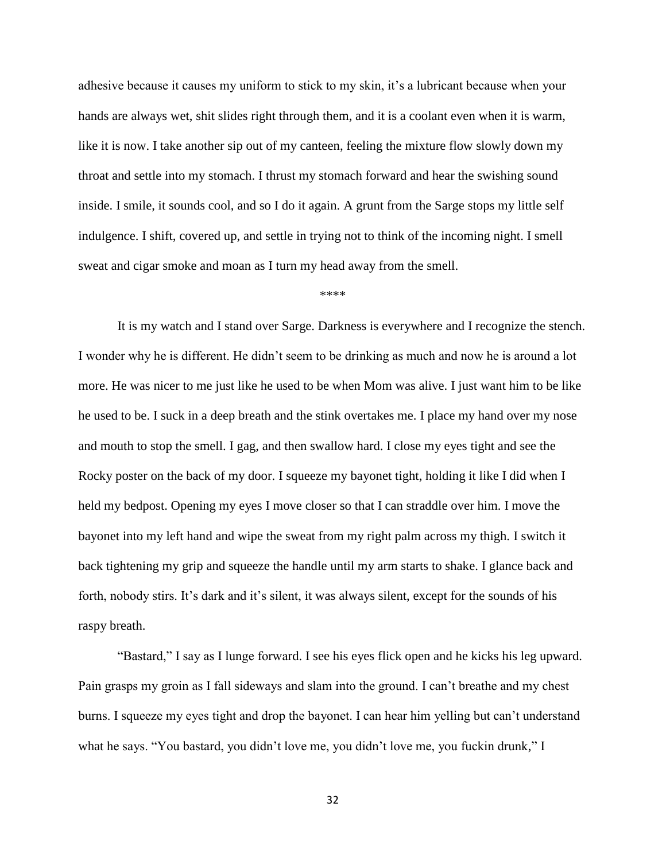adhesive because it causes my uniform to stick to my skin, it's a lubricant because when your hands are always wet, shit slides right through them, and it is a coolant even when it is warm, like it is now. I take another sip out of my canteen, feeling the mixture flow slowly down my throat and settle into my stomach. I thrust my stomach forward and hear the swishing sound inside. I smile, it sounds cool, and so I do it again. A grunt from the Sarge stops my little self indulgence. I shift, covered up, and settle in trying not to think of the incoming night. I smell sweat and cigar smoke and moan as I turn my head away from the smell.

\*\*\*\*

It is my watch and I stand over Sarge. Darkness is everywhere and I recognize the stench. I wonder why he is different. He didn't seem to be drinking as much and now he is around a lot more. He was nicer to me just like he used to be when Mom was alive. I just want him to be like he used to be. I suck in a deep breath and the stink overtakes me. I place my hand over my nose and mouth to stop the smell. I gag, and then swallow hard. I close my eyes tight and see the Rocky poster on the back of my door. I squeeze my bayonet tight, holding it like I did when I held my bedpost. Opening my eyes I move closer so that I can straddle over him. I move the bayonet into my left hand and wipe the sweat from my right palm across my thigh. I switch it back tightening my grip and squeeze the handle until my arm starts to shake. I glance back and forth, nobody stirs. It's dark and it's silent, it was always silent, except for the sounds of his raspy breath.

"Bastard," I say as I lunge forward. I see his eyes flick open and he kicks his leg upward. Pain grasps my groin as I fall sideways and slam into the ground. I can't breathe and my chest burns. I squeeze my eyes tight and drop the bayonet. I can hear him yelling but can't understand what he says. "You bastard, you didn't love me, you didn't love me, you fuckin drunk," I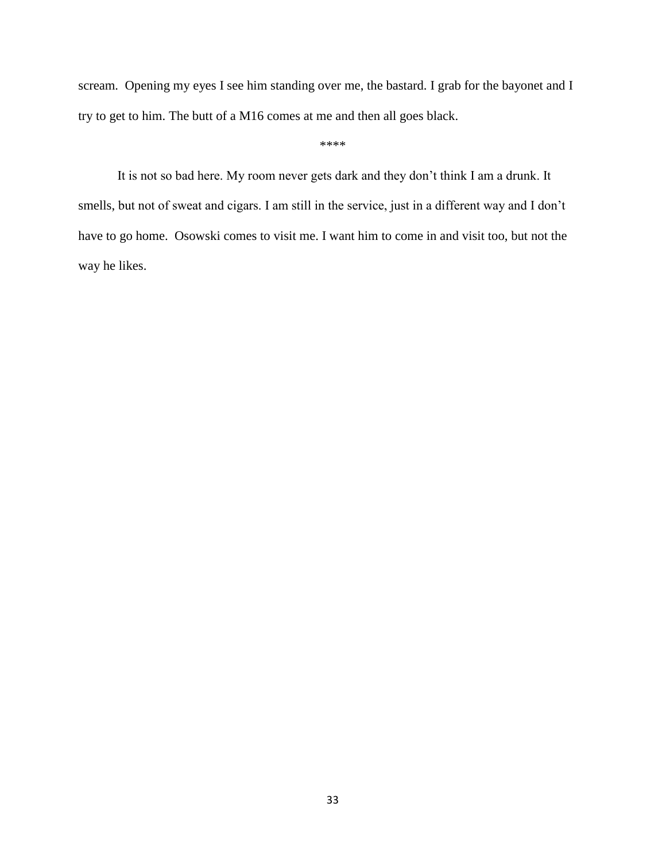scream. Opening my eyes I see him standing over me, the bastard. I grab for the bayonet and I try to get to him. The butt of a M16 comes at me and then all goes black.

\*\*\*\*

It is not so bad here. My room never gets dark and they don't think I am a drunk. It smells, but not of sweat and cigars. I am still in the service, just in a different way and I don't have to go home. Osowski comes to visit me. I want him to come in and visit too, but not the way he likes.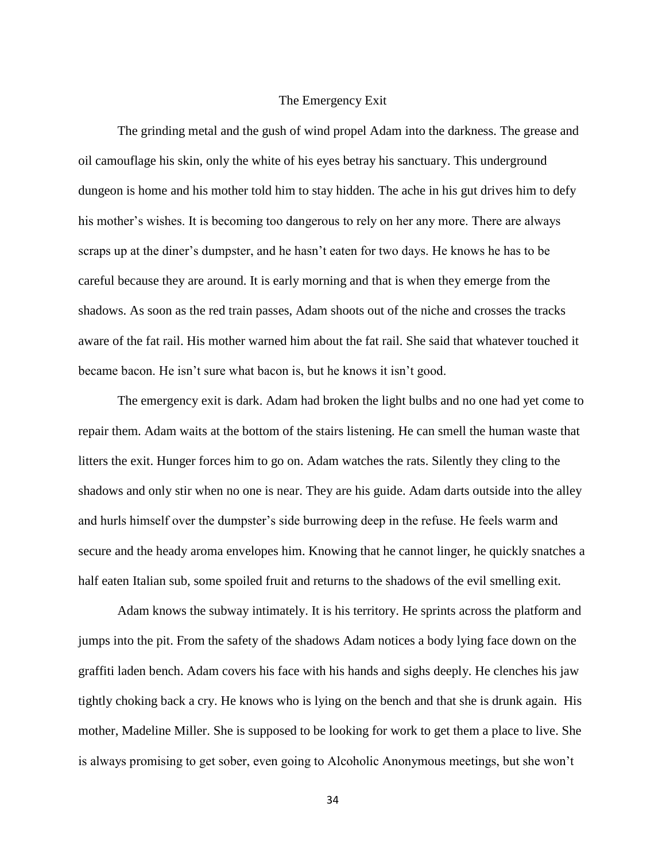## The Emergency Exit

The grinding metal and the gush of wind propel Adam into the darkness. The grease and oil camouflage his skin, only the white of his eyes betray his sanctuary. This underground dungeon is home and his mother told him to stay hidden. The ache in his gut drives him to defy his mother's wishes. It is becoming too dangerous to rely on her any more. There are always scraps up at the diner's dumpster, and he hasn't eaten for two days. He knows he has to be careful because they are around. It is early morning and that is when they emerge from the shadows. As soon as the red train passes, Adam shoots out of the niche and crosses the tracks aware of the fat rail. His mother warned him about the fat rail. She said that whatever touched it became bacon. He isn't sure what bacon is, but he knows it isn't good.

The emergency exit is dark. Adam had broken the light bulbs and no one had yet come to repair them. Adam waits at the bottom of the stairs listening. He can smell the human waste that litters the exit. Hunger forces him to go on. Adam watches the rats. Silently they cling to the shadows and only stir when no one is near. They are his guide. Adam darts outside into the alley and hurls himself over the dumpster's side burrowing deep in the refuse. He feels warm and secure and the heady aroma envelopes him. Knowing that he cannot linger, he quickly snatches a half eaten Italian sub, some spoiled fruit and returns to the shadows of the evil smelling exit.

Adam knows the subway intimately. It is his territory. He sprints across the platform and jumps into the pit. From the safety of the shadows Adam notices a body lying face down on the graffiti laden bench. Adam covers his face with his hands and sighs deeply. He clenches his jaw tightly choking back a cry. He knows who is lying on the bench and that she is drunk again. His mother, Madeline Miller. She is supposed to be looking for work to get them a place to live. She is always promising to get sober, even going to Alcoholic Anonymous meetings, but she won't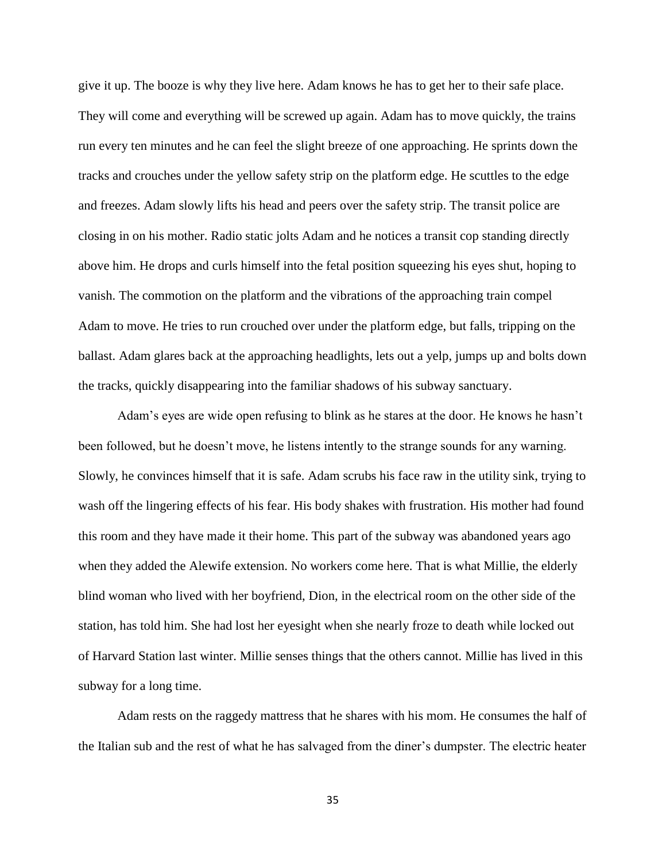give it up. The booze is why they live here. Adam knows he has to get her to their safe place. They will come and everything will be screwed up again. Adam has to move quickly, the trains run every ten minutes and he can feel the slight breeze of one approaching. He sprints down the tracks and crouches under the yellow safety strip on the platform edge. He scuttles to the edge and freezes. Adam slowly lifts his head and peers over the safety strip. The transit police are closing in on his mother. Radio static jolts Adam and he notices a transit cop standing directly above him. He drops and curls himself into the fetal position squeezing his eyes shut, hoping to vanish. The commotion on the platform and the vibrations of the approaching train compel Adam to move. He tries to run crouched over under the platform edge, but falls, tripping on the ballast. Adam glares back at the approaching headlights, lets out a yelp, jumps up and bolts down the tracks, quickly disappearing into the familiar shadows of his subway sanctuary.

Adam's eyes are wide open refusing to blink as he stares at the door. He knows he hasn't been followed, but he doesn't move, he listens intently to the strange sounds for any warning. Slowly, he convinces himself that it is safe. Adam scrubs his face raw in the utility sink, trying to wash off the lingering effects of his fear. His body shakes with frustration. His mother had found this room and they have made it their home. This part of the subway was abandoned years ago when they added the Alewife extension. No workers come here. That is what Millie, the elderly blind woman who lived with her boyfriend, Dion, in the electrical room on the other side of the station, has told him. She had lost her eyesight when she nearly froze to death while locked out of Harvard Station last winter. Millie senses things that the others cannot. Millie has lived in this subway for a long time.

Adam rests on the raggedy mattress that he shares with his mom. He consumes the half of the Italian sub and the rest of what he has salvaged from the diner's dumpster. The electric heater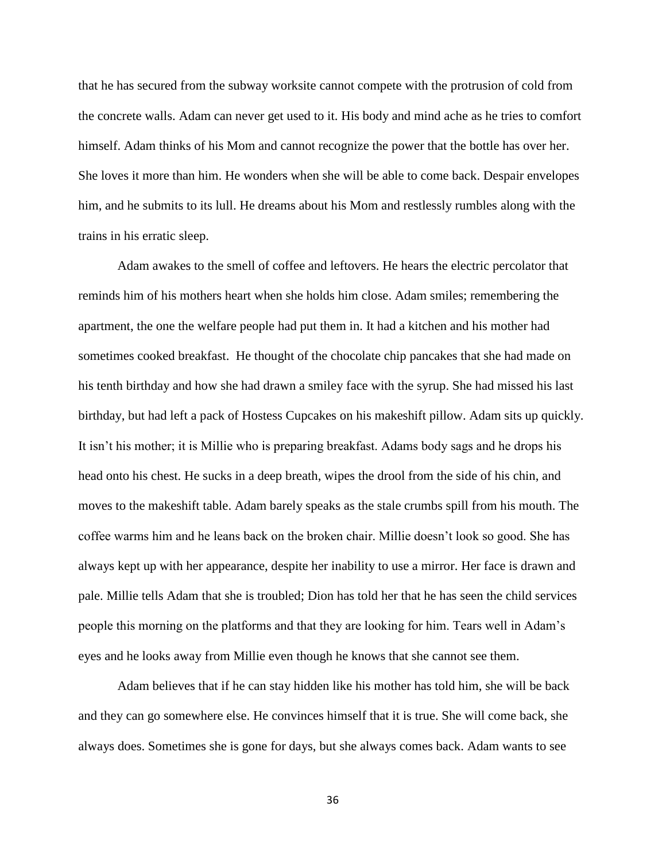that he has secured from the subway worksite cannot compete with the protrusion of cold from the concrete walls. Adam can never get used to it. His body and mind ache as he tries to comfort himself. Adam thinks of his Mom and cannot recognize the power that the bottle has over her. She loves it more than him. He wonders when she will be able to come back. Despair envelopes him, and he submits to its lull. He dreams about his Mom and restlessly rumbles along with the trains in his erratic sleep.

Adam awakes to the smell of coffee and leftovers. He hears the electric percolator that reminds him of his mothers heart when she holds him close. Adam smiles; remembering the apartment, the one the welfare people had put them in. It had a kitchen and his mother had sometimes cooked breakfast. He thought of the chocolate chip pancakes that she had made on his tenth birthday and how she had drawn a smiley face with the syrup. She had missed his last birthday, but had left a pack of Hostess Cupcakes on his makeshift pillow. Adam sits up quickly. It isn't his mother; it is Millie who is preparing breakfast. Adams body sags and he drops his head onto his chest. He sucks in a deep breath, wipes the drool from the side of his chin, and moves to the makeshift table. Adam barely speaks as the stale crumbs spill from his mouth. The coffee warms him and he leans back on the broken chair. Millie doesn't look so good. She has always kept up with her appearance, despite her inability to use a mirror. Her face is drawn and pale. Millie tells Adam that she is troubled; Dion has told her that he has seen the child services people this morning on the platforms and that they are looking for him. Tears well in Adam's eyes and he looks away from Millie even though he knows that she cannot see them.

Adam believes that if he can stay hidden like his mother has told him, she will be back and they can go somewhere else. He convinces himself that it is true. She will come back, she always does. Sometimes she is gone for days, but she always comes back. Adam wants to see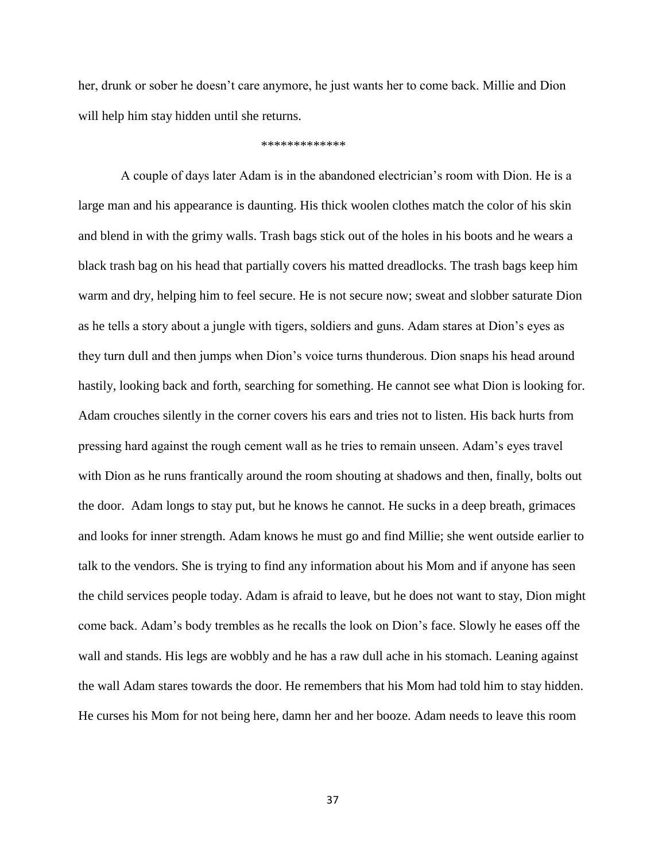her, drunk or sober he doesn't care anymore, he just wants her to come back. Millie and Dion will help him stay hidden until she returns.

#### \*\*\*\*\*\*\*\*\*\*\*\*\*

A couple of days later Adam is in the abandoned electrician's room with Dion. He is a large man and his appearance is daunting. His thick woolen clothes match the color of his skin and blend in with the grimy walls. Trash bags stick out of the holes in his boots and he wears a black trash bag on his head that partially covers his matted dreadlocks. The trash bags keep him warm and dry, helping him to feel secure. He is not secure now; sweat and slobber saturate Dion as he tells a story about a jungle with tigers, soldiers and guns. Adam stares at Dion's eyes as they turn dull and then jumps when Dion's voice turns thunderous. Dion snaps his head around hastily, looking back and forth, searching for something. He cannot see what Dion is looking for. Adam crouches silently in the corner covers his ears and tries not to listen. His back hurts from pressing hard against the rough cement wall as he tries to remain unseen. Adam's eyes travel with Dion as he runs frantically around the room shouting at shadows and then, finally, bolts out the door. Adam longs to stay put, but he knows he cannot. He sucks in a deep breath, grimaces and looks for inner strength. Adam knows he must go and find Millie; she went outside earlier to talk to the vendors. She is trying to find any information about his Mom and if anyone has seen the child services people today. Adam is afraid to leave, but he does not want to stay, Dion might come back. Adam's body trembles as he recalls the look on Dion's face. Slowly he eases off the wall and stands. His legs are wobbly and he has a raw dull ache in his stomach. Leaning against the wall Adam stares towards the door. He remembers that his Mom had told him to stay hidden. He curses his Mom for not being here, damn her and her booze. Adam needs to leave this room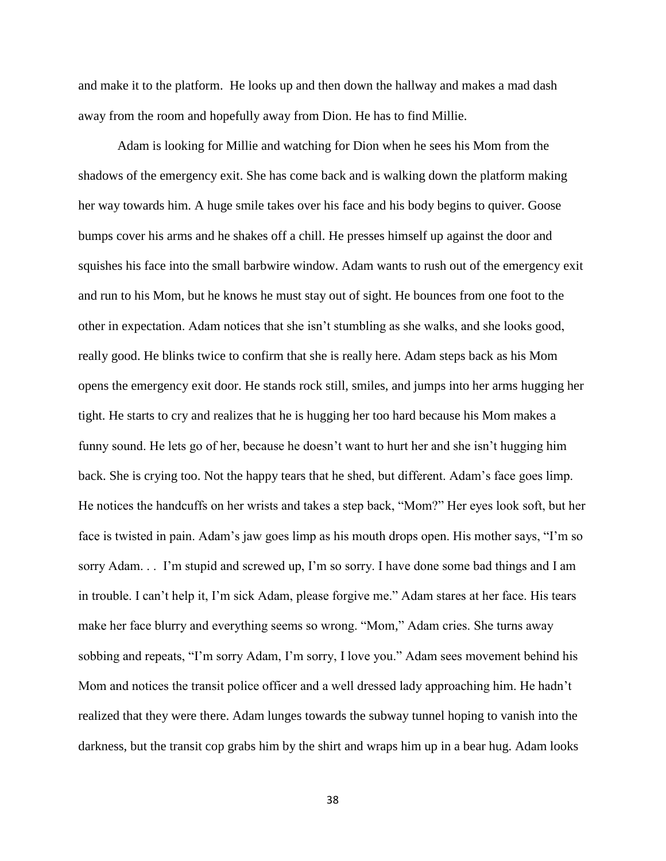and make it to the platform. He looks up and then down the hallway and makes a mad dash away from the room and hopefully away from Dion. He has to find Millie.

Adam is looking for Millie and watching for Dion when he sees his Mom from the shadows of the emergency exit. She has come back and is walking down the platform making her way towards him. A huge smile takes over his face and his body begins to quiver. Goose bumps cover his arms and he shakes off a chill. He presses himself up against the door and squishes his face into the small barbwire window. Adam wants to rush out of the emergency exit and run to his Mom, but he knows he must stay out of sight. He bounces from one foot to the other in expectation. Adam notices that she isn't stumbling as she walks, and she looks good, really good. He blinks twice to confirm that she is really here. Adam steps back as his Mom opens the emergency exit door. He stands rock still, smiles, and jumps into her arms hugging her tight. He starts to cry and realizes that he is hugging her too hard because his Mom makes a funny sound. He lets go of her, because he doesn't want to hurt her and she isn't hugging him back. She is crying too. Not the happy tears that he shed, but different. Adam's face goes limp. He notices the handcuffs on her wrists and takes a step back, "Mom?" Her eyes look soft, but her face is twisted in pain. Adam's jaw goes limp as his mouth drops open. His mother says, "I'm so sorry Adam. . . I'm stupid and screwed up, I'm so sorry. I have done some bad things and I am in trouble. I can't help it, I'm sick Adam, please forgive me." Adam stares at her face. His tears make her face blurry and everything seems so wrong. "Mom," Adam cries. She turns away sobbing and repeats, "I'm sorry Adam, I'm sorry, I love you." Adam sees movement behind his Mom and notices the transit police officer and a well dressed lady approaching him. He hadn't realized that they were there. Adam lunges towards the subway tunnel hoping to vanish into the darkness, but the transit cop grabs him by the shirt and wraps him up in a bear hug. Adam looks